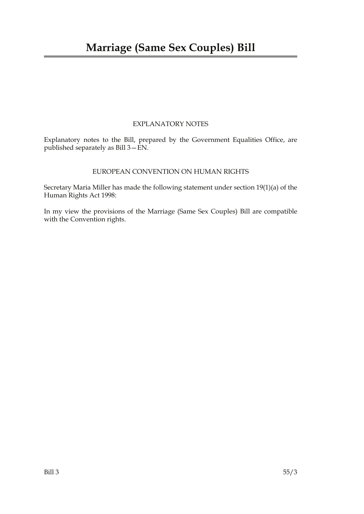### EXPLANATORY NOTES

Explanatory notes to the Bill, prepared by the Government Equalities Office, are published separately as Bill 3—EN.

### EUROPEAN CONVENTION ON HUMAN RIGHTS

Secretary Maria Miller has made the following statement under section 19(1)(a) of the Human Rights Act 1998:

In my view the provisions of the Marriage (Same Sex Couples) Bill are compatible with the Convention rights.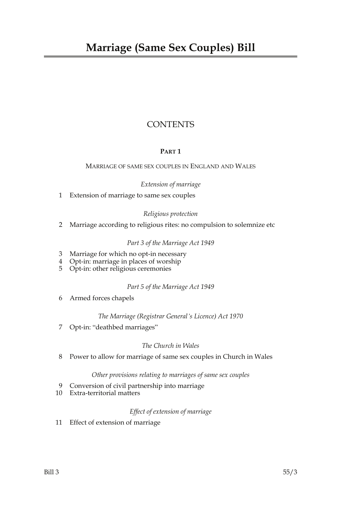## **CONTENTS**

### **PART 1**

### MARRIAGE OF SAME SEX COUPLES IN ENGLAND AND WALES

### *Extension of marriage*

1 Extension of marriage to same sex couples

### *Religious protection*

2 Marriage according to religious rites: no compulsion to solemnize etc

### *Part 3 of the Marriage Act 1949*

- 3 Marriage for which no opt-in necessary
- 4 Opt-in: marriage in places of worship
- 5 Opt-in: other religious ceremonies

### *Part 5 of the Marriage Act 1949*

6 Armed forces chapels

### *The Marriage (Registrar General's Licence) Act 1970*

7 Opt-in: "deathbed marriages"

### *The Church in Wales*

8 Power to allow for marriage of same sex couples in Church in Wales

### *Other provisions relating to marriages of same sex couples*

- 9 Conversion of civil partnership into marriage
- 10 Extra-territorial matters

### *Effect of extension of marriage*

11 Effect of extension of marriage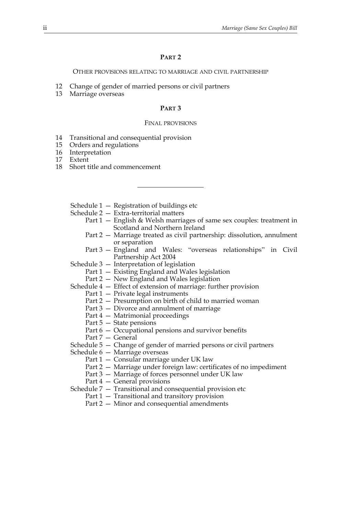### **PART 2**

OTHER PROVISIONS RELATING TO MARRIAGE AND CIVIL PARTNERSHIP

- 12 Change of gender of married persons or civil partners
- 13 Marriage overseas

#### **PART 3**

#### FINAL PROVISIONS

- 14 Transitional and consequential provision
- 15 Orders and regulations
- 16 Interpretation
- 17 Extent
- 18 Short title and commencement
	- Schedule 1 Registration of buildings etc
	- Schedule 2 Extra-territorial matters
		- Part 1 English & Welsh marriages of same sex couples: treatment in Scotland and Northern Ireland
		- Part 2 Marriage treated as civil partnership: dissolution, annulment or separation
		- Part 3 England and Wales: "overseas relationships" in Civil Partnership Act 2004
	- Schedule 3 Interpretation of legislation
		- Part 1 Existing England and Wales legislation
		- Part 2 New England and Wales legislation
	- Schedule 4 Effect of extension of marriage: further provision
		- Part 1 Private legal instruments
		- Part 2 Presumption on birth of child to married woman
		- Part 3 Divorce and annulment of marriage
		- Part 4 Matrimonial proceedings
		- Part 5 State pensions
		- Part 6 Occupational pensions and survivor benefits
		- Part 7 General
	- Schedule 5 Change of gender of married persons or civil partners
	- Schedule 6 Marriage overseas
		- Part 1 Consular marriage under UK law
		- Part 2 Marriage under foreign law: certificates of no impediment
		- Part 3 Marriage of forces personnel under UK law
		- Part 4 General provisions
	- Schedule 7 Transitional and consequential provision etc
		- Part 1 Transitional and transitory provision
		- Part 2 Minor and consequential amendments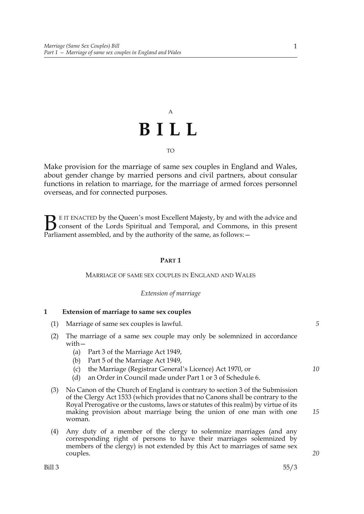# A **BILL** TO

Make provision for the marriage of same sex couples in England and Wales, about gender change by married persons and civil partners, about consular functions in relation to marriage, for the marriage of armed forces personnel overseas, and for connected purposes.

E IT ENACTED by the Queen's most Excellent Majesty, by and with the advice and consent of the Lords Spiritual and Temporal, and Commons, in this present **B** E IT ENACTED by the Queen's most Excellent Majesty, by and with consent of the Lords Spiritual and Temporal, and Commons, Parliament assembled, and by the authority of the same, as follows:  $-$ 

### **PART 1**

### MARRIAGE OF SAME SEX COUPLES IN ENGLAND AND WALES

#### *Extension of marriage*

### **1 Extension of marriage to same sex couples**

- (1) Marriage of same sex couples is lawful.
- (2) The marriage of a same sex couple may only be solemnized in accordance with—
	- (a) Part 3 of the Marriage Act 1949,
	- (b) Part 5 of the Marriage Act 1949,
	- (c) the Marriage (Registrar General's Licence) Act 1970, or
	- (d) an Order in Council made under Part 1 or 3 of Schedule 6.
- (3) No Canon of the Church of England is contrary to section 3 of the Submission of the Clergy Act 1533 (which provides that no Canons shall be contrary to the Royal Prerogative or the customs, laws or statutes of this realm) by virtue of its making provision about marriage being the union of one man with one woman.
- (4) Any duty of a member of the clergy to solemnize marriages (and any corresponding right of persons to have their marriages solemnized by members of the clergy) is not extended by this Act to marriages of same sex couples.

*20*

*5*

*10*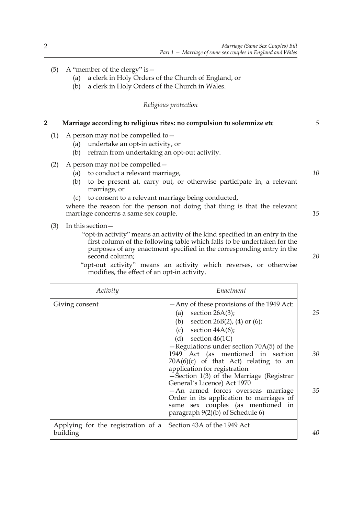- (5) A "member of the clergy" is—
	- (a) a clerk in Holy Orders of the Church of England, or
	- (b) a clerk in Holy Orders of the Church in Wales.

## *Religious protection*

|     | Marriage according to religious rites: no compulsion to solemnize etc                                                                                                                                                                                                                                                                                                   |           |  |  |  |  |  |  |  |
|-----|-------------------------------------------------------------------------------------------------------------------------------------------------------------------------------------------------------------------------------------------------------------------------------------------------------------------------------------------------------------------------|-----------|--|--|--|--|--|--|--|
| (1) | A person may not be compelled to $-$<br>undertake an opt-in activity, or<br>(a)<br>refrain from undertaking an opt-out activity.<br>(b)                                                                                                                                                                                                                                 |           |  |  |  |  |  |  |  |
| (2) | A person may not be compelled –<br>to conduct a relevant marriage,<br>(a)<br>to be present at, carry out, or otherwise participate in, a relevant<br>(b)<br>marriage, or<br>to consent to a relevant marriage being conducted,<br>(c)<br>where the reason for the person not doing that thing is that the relevant<br>marriage concerns a same sex couple.              |           |  |  |  |  |  |  |  |
| (3) | In this section -                                                                                                                                                                                                                                                                                                                                                       |           |  |  |  |  |  |  |  |
|     | "opt-in activity" means an activity of the kind specified in an entry in the<br>first column of the following table which falls to be undertaken for the<br>purposes of any enactment specified in the corresponding entry in the<br>second column;<br>"opt-out activity" means an activity which reverses, or otherwise<br>modifies, the effect of an opt-in activity. |           |  |  |  |  |  |  |  |
|     | Activity                                                                                                                                                                                                                                                                                                                                                                | Enactment |  |  |  |  |  |  |  |
|     | - Any of these provisions of the 1949 Act:<br>Giving consent<br>$(1)$ $(2)$ $(3)$ $(4)$                                                                                                                                                                                                                                                                                 |           |  |  |  |  |  |  |  |

| Giving consent                                 | - Any of these provisions of the 1949 Act:  |    |
|------------------------------------------------|---------------------------------------------|----|
|                                                | section $26A(3)$ ;<br>(a)                   | 25 |
|                                                | section 26B(2), (4) or (6);<br>(b)          |    |
|                                                | section $44A(6)$ ;<br>(c)                   |    |
|                                                | (d)<br>section $46(1C)$                     |    |
|                                                | $-$ Regulations under section 70A(5) of the |    |
|                                                | 1949 Act (as mentioned in section           | 30 |
|                                                | $70A(6)(c)$ of that Act) relating to an     |    |
|                                                | application for registration                |    |
|                                                | $-$ Section 1(3) of the Marriage (Registrar |    |
|                                                | General's Licence) Act 1970                 |    |
|                                                | - An armed forces overseas marriage         | 35 |
|                                                | Order in its application to marriages of    |    |
|                                                | same sex couples (as mentioned in           |    |
|                                                | paragraph 9(2)(b) of Schedule 6)            |    |
| Applying for the registration of a<br>building | Section 43A of the 1949 Act                 | 40 |
|                                                |                                             |    |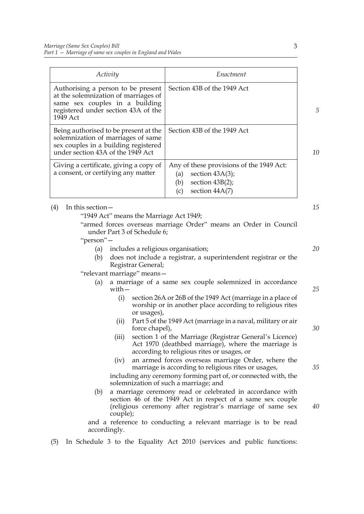| Activity                                                                                                                                                        | Enactment                                                                                                                     |  |  |  |  |
|-----------------------------------------------------------------------------------------------------------------------------------------------------------------|-------------------------------------------------------------------------------------------------------------------------------|--|--|--|--|
| Authorising a person to be present<br>at the solemnization of marriages of<br>same sex couples in a building<br>registered under section 43A of the<br>1949 Act | Section 43B of the 1949 Act                                                                                                   |  |  |  |  |
| Being authorised to be present at the<br>solemnization of marriages of same<br>sex couples in a building registered<br>under section 43A of the 1949 Act        | Section 43B of the 1949 Act                                                                                                   |  |  |  |  |
| Giving a certificate, giving a copy of<br>a consent, or certifying any matter                                                                                   | Any of these provisions of the 1949 Act:<br>section $43A(3)$ ;<br>(a)<br>(b)<br>section $43B(2)$ ;<br>section $44A(7)$<br>(c) |  |  |  |  |

(4) In this section—

"1949 Act" means the Marriage Act 1949;

"armed forces overseas marriage Order" means an Order in Council under Part 3 of Schedule 6;

"person"—

- (a) includes a religious organisation;
- (b) does not include a registrar, a superintendent registrar or the Registrar General;

"relevant marriage" means—

- (a) a marriage of a same sex couple solemnized in accordance with—
	- (i) section 26A or 26B of the 1949 Act (marriage in a place of worship or in another place according to religious rites or usages),
	- (ii) Part 5 of the 1949 Act (marriage in a naval, military or air force chapel),
	- (iii) section 1 of the Marriage (Registrar General's Licence) Act 1970 (deathbed marriage), where the marriage is according to religious rites or usages, or
	- (iv) an armed forces overseas marriage Order, where the marriage is according to religious rites or usages,

including any ceremony forming part of, or connected with, the solemnization of such a marriage; and

(b) a marriage ceremony read or celebrated in accordance with section 46 of the 1949 Act in respect of a same sex couple (religious ceremony after registrar's marriage of same sex couple);

and a reference to conducting a relevant marriage is to be read accordingly.

(5) In Schedule 3 to the Equality Act 2010 (services and public functions:

*15*

*5*

*10*

*20*

*25*

*30*

*35*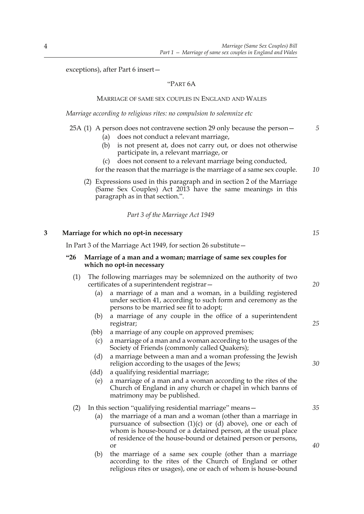exceptions), after Part 6 insert—

#### "PART 6A

#### MARRIAGE OF SAME SEX COUPLES IN ENGLAND AND WALES

*Marriage according to religious rites: no compulsion to solemnize etc*

- 25A (1) A person does not contravene section 29 only because the person— *5*
	- (a) does not conduct a relevant marriage,
	- (b) is not present at, does not carry out, or does not otherwise participate in, a relevant marriage, or
	- (c) does not consent to a relevant marriage being conducted,
	- for the reason that the marriage is the marriage of a same sex couple. *10*
	- (2) Expressions used in this paragraph and in section 2 of the Marriage (Same Sex Couples) Act 2013 have the same meanings in this paragraph as in that section.".

*Part 3 of the Marriage Act 1949*

#### **3 Marriage for which no opt-in necessary**

In Part 3 of the Marriage Act 1949, for section 26 substitute—

#### **"26 Marriage of a man and a woman; marriage of same sex couples for which no opt-in necessary**

- (1) The following marriages may be solemnized on the authority of two certificates of a superintendent registrar—
	- (a) a marriage of a man and a woman, in a building registered under section 41, according to such form and ceremony as the persons to be married see fit to adopt;
	- (b) a marriage of any couple in the office of a superintendent registrar;
	- (bb) a marriage of any couple on approved premises;
		- (c) a marriage of a man and a woman according to the usages of the Society of Friends (commonly called Quakers);
	- (d) a marriage between a man and a woman professing the Jewish religion according to the usages of the Jews;
	- (dd) a qualifying residential marriage;
		- (e) a marriage of a man and a woman according to the rites of the Church of England in any church or chapel in which banns of matrimony may be published.
- (2) In this section "qualifying residential marriage" means—
	- (a) the marriage of a man and a woman (other than a marriage in pursuance of subsection (1)(c) or (d) above), one or each of whom is house-bound or a detained person, at the usual place of residence of the house-bound or detained person or persons, or
	- (b) the marriage of a same sex couple (other than a marriage according to the rites of the Church of England or other religious rites or usages), one or each of whom is house-bound

*15*

*20*

*25*

*30*

*40*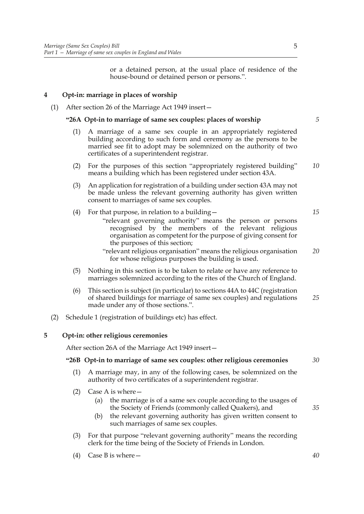or a detained person, at the usual place of residence of the house-bound or detained person or persons.".

### **4 Opt-in: marriage in places of worship**

(1) After section 26 of the Marriage Act 1949 insert—

### **"26A Opt-in to marriage of same sex couples: places of worship**

- (1) A marriage of a same sex couple in an appropriately registered building according to such form and ceremony as the persons to be married see fit to adopt may be solemnized on the authority of two certificates of a superintendent registrar.
- (2) For the purposes of this section "appropriately registered building" means a building which has been registered under section 43A. *10*
- (3) An application for registration of a building under section 43A may not be made unless the relevant governing authority has given written consent to marriages of same sex couples.
- (4) For that purpose, in relation to a building— "relevant governing authority" means the person or persons recognised by the members of the relevant religious organisation as competent for the purpose of giving consent for the purposes of this section;
	- "relevant religious organisation" means the religious organisation for whose religious purposes the building is used. *20*
- (5) Nothing in this section is to be taken to relate or have any reference to marriages solemnized according to the rites of the Church of England.
- (6) This section is subject (in particular) to sections 44A to 44C (registration of shared buildings for marriage of same sex couples) and regulations made under any of those sections.". *25*
- (2) Schedule 1 (registration of buildings etc) has effect.

### **5 Opt-in: other religious ceremonies**

After section 26A of the Marriage Act 1949 insert—

#### **"26B Opt-in to marriage of same sex couples: other religious ceremonies**

- (1) A marriage may, in any of the following cases, be solemnized on the authority of two certificates of a superintendent registrar.
- (2) Case A is where
	- the marriage is of a same sex couple according to the usages of the Society of Friends (commonly called Quakers), and
	- (b) the relevant governing authority has given written consent to such marriages of same sex couples.
- (3) For that purpose "relevant governing authority" means the recording clerk for the time being of the Society of Friends in London.
- (4) Case B is where—

*5*

*15*

5

*30*

*35*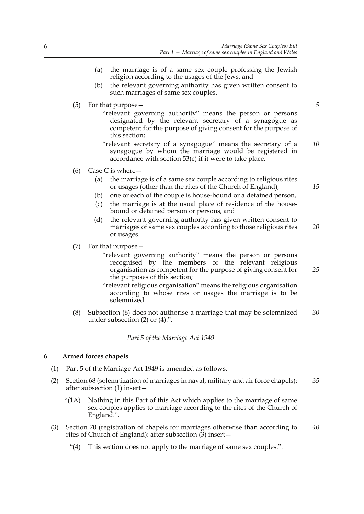- (a) the marriage is of a same sex couple professing the Jewish religion according to the usages of the Jews, and
- (b) the relevant governing authority has given written consent to such marriages of same sex couples.
- (5) For that purpose—
	- "relevant governing authority" means the person or persons designated by the relevant secretary of a synagogue as competent for the purpose of giving consent for the purpose of this section;
	- "relevant secretary of a synagogue" means the secretary of a synagogue by whom the marriage would be registered in accordance with section 53(c) if it were to take place. *10*
- (6) Case C is where—
	- (a) the marriage is of a same sex couple according to religious rites or usages (other than the rites of the Church of England),
	- (b) one or each of the couple is house-bound or a detained person,
	- (c) the marriage is at the usual place of residence of the housebound or detained person or persons, and
	- (d) the relevant governing authority has given written consent to marriages of same sex couples according to those religious rites or usages.
- (7) For that purpose—
	- "relevant governing authority" means the person or persons recognised by the members of the relevant religious organisation as competent for the purpose of giving consent for the purposes of this section;
	- "relevant religious organisation" means the religious organisation according to whose rites or usages the marriage is to be solemnized.
- (8) Subsection (6) does not authorise a marriage that may be solemnized under subsection (2) or (4).". *30*

*Part 5 of the Marriage Act 1949*

### **6 Armed forces chapels**

- (1) Part 5 of the Marriage Act 1949 is amended as follows.
- (2) Section 68 (solemnization of marriages in naval, military and air force chapels): after subsection (1) insert— *35*
	- "(1A) Nothing in this Part of this Act which applies to the marriage of same sex couples applies to marriage according to the rites of the Church of England.".
- (3) Section 70 (registration of chapels for marriages otherwise than according to rites of Church of England): after subsection (3) insert— *40*
	- "(4) This section does not apply to the marriage of same sex couples.".

*15*

*5*

*20*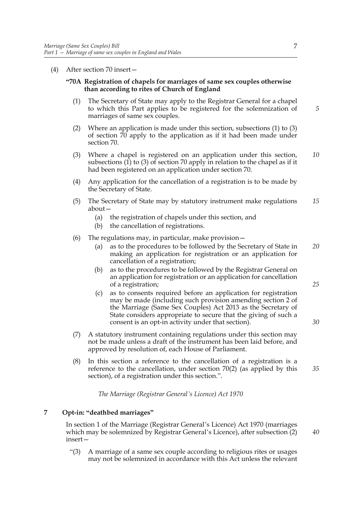(4) After section 70 insert—

### **"70A Registration of chapels for marriages of same sex couples otherwise than according to rites of Church of England**

- (1) The Secretary of State may apply to the Registrar General for a chapel to which this Part applies to be registered for the solemnization of marriages of same sex couples.
- (2) Where an application is made under this section, subsections (1) to (3) of section 70 apply to the application as if it had been made under section 70.
- (3) Where a chapel is registered on an application under this section, subsections (1) to (3) of section 70 apply in relation to the chapel as if it had been registered on an application under section 70. *10*
- (4) Any application for the cancellation of a registration is to be made by the Secretary of State.
- (5) The Secretary of State may by statutory instrument make regulations about— *15*
	- (a) the registration of chapels under this section, and
	- (b) the cancellation of registrations.
- (6) The regulations may, in particular, make provision—
	- (a) as to the procedures to be followed by the Secretary of State in making an application for registration or an application for cancellation of a registration;
	- (b) as to the procedures to be followed by the Registrar General on an application for registration or an application for cancellation of a registration;
	- (c) as to consents required before an application for registration may be made (including such provision amending section 2 of the Marriage (Same Sex Couples) Act 2013 as the Secretary of State considers appropriate to secure that the giving of such a consent is an opt-in activity under that section).
- (7) A statutory instrument containing regulations under this section may not be made unless a draft of the instrument has been laid before, and approved by resolution of, each House of Parliament.
- (8) In this section a reference to the cancellation of a registration is a reference to the cancellation, under section 70(2) (as applied by this section), of a registration under this section.".

*The Marriage (Registrar General's Licence) Act 1970*

### **7 Opt-in: "deathbed marriages"**

In section 1 of the Marriage (Registrar General's Licence) Act 1970 (marriages which may be solemnized by Registrar General's Licence), after subsection (2) insert—

"(3) A marriage of a same sex couple according to religious rites or usages may not be solemnized in accordance with this Act unless the relevant

7

*5*

*20*

*25*

*30*

*35*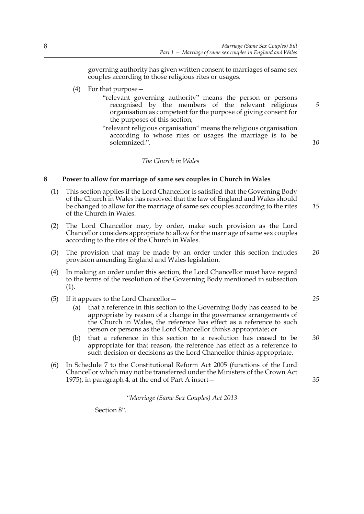governing authority has given written consent to marriages of same sex couples according to those religious rites or usages.

- (4) For that purpose—
	- "relevant governing authority" means the person or persons recognised by the members of the relevant religious organisation as competent for the purpose of giving consent for the purposes of this section;
	- "relevant religious organisation" means the religious organisation according to whose rites or usages the marriage is to be solemnized.".

## *10*

*25*

*30*

*35*

*5*

### *The Church in Wales*

### **8 Power to allow for marriage of same sex couples in Church in Wales**

- (1) This section applies if the Lord Chancellor is satisfied that the Governing Body of the Church in Wales has resolved that the law of England and Wales should be changed to allow for the marriage of same sex couples according to the rites of the Church in Wales. *15*
- (2) The Lord Chancellor may, by order, make such provision as the Lord Chancellor considers appropriate to allow for the marriage of same sex couples according to the rites of the Church in Wales.
- (3) The provision that may be made by an order under this section includes provision amending England and Wales legislation. *20*
- (4) In making an order under this section, the Lord Chancellor must have regard to the terms of the resolution of the Governing Body mentioned in subsection (1).
- (5) If it appears to the Lord Chancellor—
	- (a) that a reference in this section to the Governing Body has ceased to be appropriate by reason of a change in the governance arrangements of the Church in Wales, the reference has effect as a reference to such person or persons as the Lord Chancellor thinks appropriate; or
	- (b) that a reference in this section to a resolution has ceased to be appropriate for that reason, the reference has effect as a reference to such decision or decisions as the Lord Chancellor thinks appropriate.
- (6) In Schedule 7 to the Constitutional Reform Act 2005 (functions of the Lord Chancellor which may not be transferred under the Ministers of the Crown Act 1975), in paragraph 4, at the end of Part A insert—

*"Marriage (Same Sex Couples) Act 2013*

Section 8".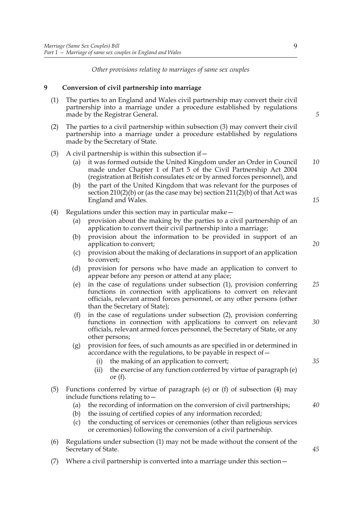*Other provisions relating to marriages of same sex couples*

### **9 Conversion of civil partnership into marriage**

- (1) The parties to an England and Wales civil partnership may convert their civil partnership into a marriage under a procedure established by regulations made by the Registrar General.
- (2) The parties to a civil partnership within subsection (3) may convert their civil partnership into a marriage under a procedure established by regulations made by the Secretary of State.
- (3) A civil partnership is within this subsection if  $-$ 
	- (a) it was formed outside the United Kingdom under an Order in Council made under Chapter 1 of Part 5 of the Civil Partnership Act 2004 (registration at British consulates etc or by armed forces personnel), and *10*
	- (b) the part of the United Kingdom that was relevant for the purposes of section 210(2)(b) or (as the case may be) section 211(2)(b) of that Act was England and Wales.
- (4) Regulations under this section may in particular make—
	- (a) provision about the making by the parties to a civil partnership of an application to convert their civil partnership into a marriage;
	- (b) provision about the information to be provided in support of an application to convert;
	- (c) provision about the making of declarations in support of an application to convert;
	- (d) provision for persons who have made an application to convert to appear before any person or attend at any place;
	- (e) in the case of regulations under subsection (1), provision conferring functions in connection with applications to convert on relevant officials, relevant armed forces personnel, or any other persons (other than the Secretary of State); *25*
	- (f) in the case of regulations under subsection (2), provision conferring functions in connection with applications to convert on relevant officials, relevant armed forces personnel, the Secretary of State, or any other persons; *30*

### (g) provision for fees, of such amounts as are specified in or determined in accordance with the regulations, to be payable in respect of  $-$

- (i) the making of an application to convert;
- (ii) the exercise of any function conferred by virtue of paragraph (e) or  $(f)$ .
- (5) Functions conferred by virtue of paragraph (e) or (f) of subsection (4) may include functions relating to—
	- (a) the recording of information on the conversion of civil partnerships;
	- (b) the issuing of certified copies of any information recorded;
	- (c) the conducting of services or ceremonies (other than religious services or ceremonies) following the conversion of a civil partnership.
- (6) Regulations under subsection (1) may not be made without the consent of the Secretary of State.
- (7) Where a civil partnership is converted into a marriage under this section—

*5*

*15*

*20*

*35*

*40*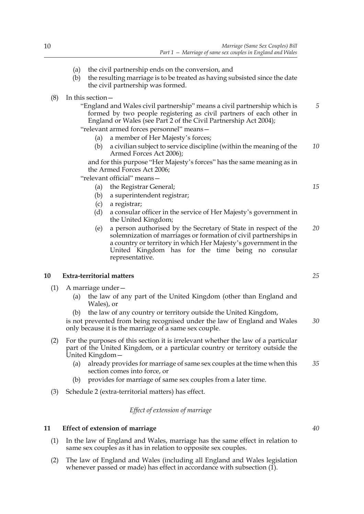- (a) the civil partnership ends on the conversion, and
- (b) the resulting marriage is to be treated as having subsisted since the date the civil partnership was formed.
- (8) In this section—

"England and Wales civil partnership" means a civil partnership which is formed by two people registering as civil partners of each other in England or Wales (see Part 2 of the Civil Partnership Act 2004);

"relevant armed forces personnel" means—

- (a) a member of Her Majesty's forces;
- (b) a civilian subject to service discipline (within the meaning of the Armed Forces Act 2006); *10*

and for this purpose "Her Majesty's forces" has the same meaning as in the Armed Forces Act 2006;

"relevant official" means—

- (a) the Registrar General;
- (b) a superintendent registrar;
- (c) a registrar;
- (d) a consular officer in the service of Her Majesty's government in the United Kingdom;
- (e) a person authorised by the Secretary of State in respect of the solemnization of marriages or formation of civil partnerships in a country or territory in which Her Majesty's government in the United Kingdom has for the time being no consular representative. *20*

#### **10 Extra-territorial matters**

- (1) A marriage under—
	- (a) the law of any part of the United Kingdom (other than England and Wales), or
	- (b) the law of any country or territory outside the United Kingdom,

is not prevented from being recognised under the law of England and Wales only because it is the marriage of a same sex couple. *30*

- (2) For the purposes of this section it is irrelevant whether the law of a particular part of the United Kingdom, or a particular country or territory outside the United Kingdom—
	- (a) already provides for marriage of same sex couples at the time when this section comes into force, or *35*
	- (b) provides for marriage of same sex couples from a later time.
- (3) Schedule 2 (extra-territorial matters) has effect.

### *Effect of extension of marriage*

#### **11 Effect of extension of marriage**

- (1) In the law of England and Wales, marriage has the same effect in relation to same sex couples as it has in relation to opposite sex couples.
- (2) The law of England and Wales (including all England and Wales legislation whenever passed or made) has effect in accordance with subsection (1).

*25*

*40*

*15*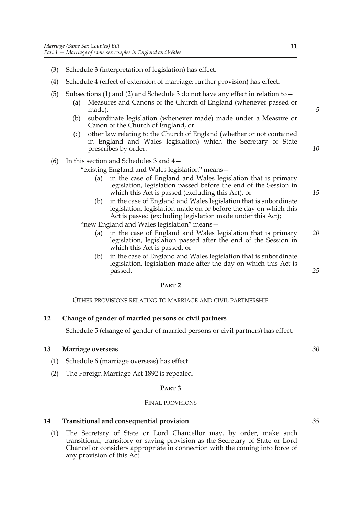- (3) Schedule 3 (interpretation of legislation) has effect.
- (4) Schedule 4 (effect of extension of marriage: further provision) has effect.
- (5) Subsections (1) and (2) and Schedule 3 do not have any effect in relation to—
	- (a) Measures and Canons of the Church of England (whenever passed or made),
	- (b) subordinate legislation (whenever made) made under a Measure or Canon of the Church of England, or
	- (c) other law relating to the Church of England (whether or not contained in England and Wales legislation) which the Secretary of State prescribes by order.
- (6) In this section and Schedules 3 and 4—

"existing England and Wales legislation" means—

- (a) in the case of England and Wales legislation that is primary legislation, legislation passed before the end of the Session in which this Act is passed (excluding this Act), or
- (b) in the case of England and Wales legislation that is subordinate legislation, legislation made on or before the day on which this Act is passed (excluding legislation made under this Act);

"new England and Wales legislation" means—

- (a) in the case of England and Wales legislation that is primary legislation, legislation passed after the end of the Session in which this Act is passed, or *20*
- (b) in the case of England and Wales legislation that is subordinate legislation, legislation made after the day on which this Act is passed.

#### **PART 2**

OTHER PROVISIONS RELATING TO MARRIAGE AND CIVIL PARTNERSHIP

### **12 Change of gender of married persons or civil partners**

Schedule 5 (change of gender of married persons or civil partners) has effect.

#### **13 Marriage overseas**

- (1) Schedule 6 (marriage overseas) has effect.
- (2) The Foreign Marriage Act 1892 is repealed.

#### **PART 3**

#### FINAL PROVISIONS

### **14 Transitional and consequential provision**

(1) The Secretary of State or Lord Chancellor may, by order, make such transitional, transitory or saving provision as the Secretary of State or Lord Chancellor considers appropriate in connection with the coming into force of any provision of this Act.

*5*

*10*

*15*

*25*

*30*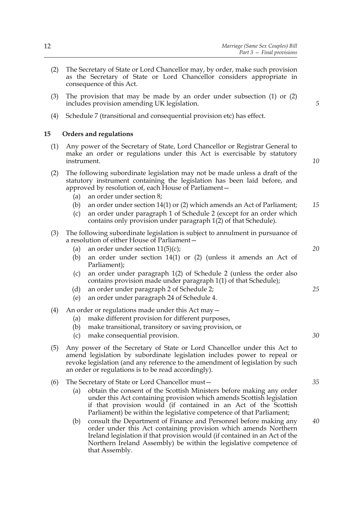- (2) The Secretary of State or Lord Chancellor may, by order, make such provision as the Secretary of State or Lord Chancellor considers appropriate in consequence of this Act.
- (3) The provision that may be made by an order under subsection (1) or (2) includes provision amending UK legislation.
- (4) Schedule 7 (transitional and consequential provision etc) has effect.

#### **15 Orders and regulations**

- (1) Any power of the Secretary of State, Lord Chancellor or Registrar General to make an order or regulations under this Act is exercisable by statutory instrument.
- (2) The following subordinate legislation may not be made unless a draft of the statutory instrument containing the legislation has been laid before, and approved by resolution of, each House of Parliament—
	- (a) an order under section 8;
	- (b) an order under section 14(1) or (2) which amends an Act of Parliament; *15*
	- (c) an order under paragraph 1 of Schedule 2 (except for an order which contains only provision under paragraph 1(2) of that Schedule).
- (3) The following subordinate legislation is subject to annulment in pursuance of a resolution of either House of Parliament—
	- (a) an order under section  $11(5)(c)$ ;
	- (b) an order under section 14(1) or (2) (unless it amends an Act of Parliament);
	- (c) an order under paragraph 1(2) of Schedule 2 (unless the order also contains provision made under paragraph 1(1) of that Schedule);
	- (d) an order under paragraph 2 of Schedule 2;
	- (e) an order under paragraph 24 of Schedule 4.
- (4) An order or regulations made under this Act may—
	- (a) make different provision for different purposes,
	- (b) make transitional, transitory or saving provision, or
	- (c) make consequential provision.
- (5) Any power of the Secretary of State or Lord Chancellor under this Act to amend legislation by subordinate legislation includes power to repeal or revoke legislation (and any reference to the amendment of legislation by such an order or regulations is to be read accordingly).
- (6) The Secretary of State or Lord Chancellor must—
	- (a) obtain the consent of the Scottish Ministers before making any order under this Act containing provision which amends Scottish legislation if that provision would (if contained in an Act of the Scottish Parliament) be within the legislative competence of that Parliament;
	- (b) consult the Department of Finance and Personnel before making any order under this Act containing provision which amends Northern Ireland legislation if that provision would (if contained in an Act of the Northern Ireland Assembly) be within the legislative competence of that Assembly.

*5*

*10*

*20*

*25*

*35*

*40*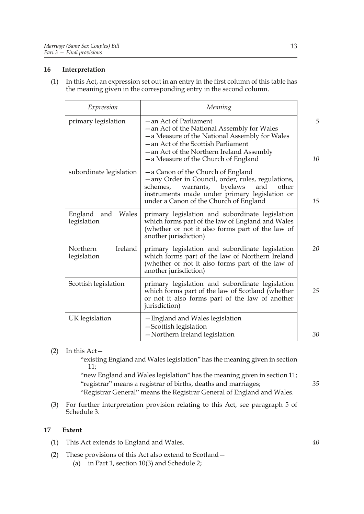### **16 Interpretation**

(1) In this Act, an expression set out in an entry in the first column of this table has the meaning given in the corresponding entry in the second column.

| Expression                          | Meaning                                                                                                                                                                                                                                             |
|-------------------------------------|-----------------------------------------------------------------------------------------------------------------------------------------------------------------------------------------------------------------------------------------------------|
| primary legislation                 | - an Act of Parliament<br>- an Act of the National Assembly for Wales<br>- a Measure of the National Assembly for Wales<br>- an Act of the Scottish Parliament<br>- an Act of the Northern Ireland Assembly<br>- a Measure of the Church of England |
| subordinate legislation             | - a Canon of the Church of England<br>-any Order in Council, order, rules, regulations,<br>schemes,<br>warrants,<br>byelaws<br>and<br>other<br>instruments made under primary legislation or<br>under a Canon of the Church of England              |
| and Wales<br>England<br>legislation | primary legislation and subordinate legislation<br>which forms part of the law of England and Wales<br>(whether or not it also forms part of the law of<br>another jurisdiction)                                                                    |
| Ireland<br>Northern<br>legislation  | primary legislation and subordinate legislation<br>which forms part of the law of Northern Ireland<br>(whether or not it also forms part of the law of<br>another jurisdiction)                                                                     |
| Scottish legislation                | primary legislation and subordinate legislation<br>which forms part of the law of Scotland (whether<br>or not it also forms part of the law of another<br>jurisdiction)                                                                             |
| UK legislation                      | -England and Wales legislation<br>-Scottish legislation<br>-Northern Ireland legislation                                                                                                                                                            |

 $(2)$  In this Act –

"existing England and Wales legislation" has the meaning given in section 11;

"new England and Wales legislation" has the meaning given in section 11; "registrar" means a registrar of births, deaths and marriages; "Registrar General" means the Registrar General of England and Wales.

(3) For further interpretation provision relating to this Act, see paragraph 5 of Schedule 3.

### **17 Extent**

- (1) This Act extends to England and Wales.
- (2) These provisions of this Act also extend to Scotland—
	- (a) in Part 1, section 10(3) and Schedule 2;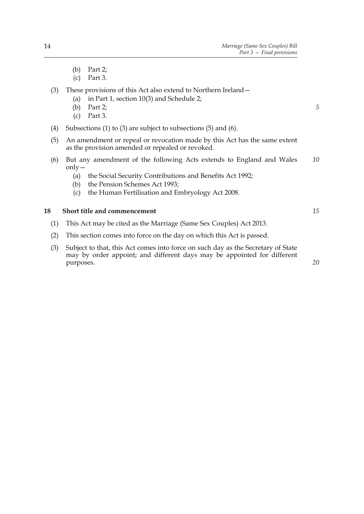- (b) Part 2;
- (c) Part 3.

### (3) These provisions of this Act also extend to Northern Ireland—

- (a) in Part 1, section 10(3) and Schedule 2;
- (b) Part 2;
- (c) Part 3.
- (4) Subsections (1) to (3) are subject to subsections (5) and (6).
- (5) An amendment or repeal or revocation made by this Act has the same extent as the provision amended or repealed or revoked.
- (6) But any amendment of the following Acts extends to England and Wales only— *10*
	- (a) the Social Security Contributions and Benefits Act 1992;
	- (b) the Pension Schemes Act 1993;
	- (c) the Human Fertilisation and Embryology Act 2008.

### **18 Short title and commencement**

- (1) This Act may be cited as the Marriage (Same Sex Couples) Act 2013.
- (2) This section comes into force on the day on which this Act is passed.
- (3) Subject to that, this Act comes into force on such day as the Secretary of State may by order appoint; and different days may be appointed for different purposes.

*15*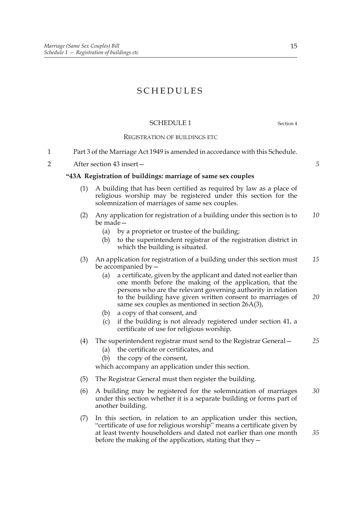## SCHEDULES

### SCHEDULE 1 Section 4

REGISTRATION OF BUILDINGS ETC

1 Part 3 of the Marriage Act 1949 is amended in accordance with this Schedule.

2 After section 43 insert—

#### **"43A Registration of buildings: marriage of same sex couples**

- (1) A building that has been certified as required by law as a place of religious worship may be registered under this section for the solemnization of marriages of same sex couples.
- (2) Any application for registration of a building under this section is to be made— *10*
	- (a) by a proprietor or trustee of the building;
	- (b) to the superintendent registrar of the registration district in which the building is situated.
- (3) An application for registration of a building under this section must be accompanied by— *15*
	- (a) a certificate, given by the applicant and dated not earlier than one month before the making of the application, that the persons who are the relevant governing authority in relation to the building have given written consent to marriages of same sex couples as mentioned in section 26A(3), *20*
	- (b) a copy of that consent, and
	- (c) if the building is not already registered under section 41, a certificate of use for religious worship.
- (4) The superintendent registrar must send to the Registrar General— *25*
	- (a) the certificate or certificates, and
	- (b) the copy of the consent,

which accompany an application under this section.

- (5) The Registrar General must then register the building.
- (6) A building may be registered for the solemnization of marriages under this section whether it is a separate building or forms part of another building. *30*
- (7) In this section, in relation to an application under this section, "certificate of use for religious worship" means a certificate given by at least twenty householders and dated not earlier than one month before the making of the application, stating that they— *35*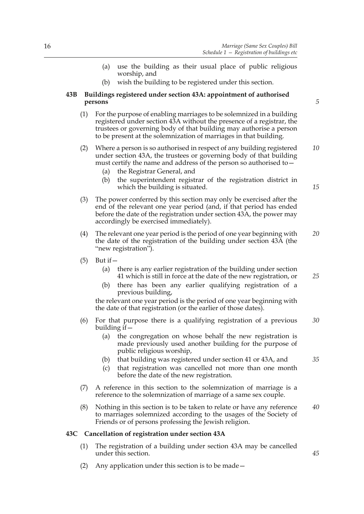- (a) use the building as their usual place of public religious worship, and
- (b) wish the building to be registered under this section.

### **43B Buildings registered under section 43A: appointment of authorised persons**

- (1) For the purpose of enabling marriages to be solemnized in a building registered under section 43A without the presence of a registrar, the trustees or governing body of that building may authorise a person to be present at the solemnization of marriages in that building.
- (2) Where a person is so authorised in respect of any building registered under section 43A, the trustees or governing body of that building must certify the name and address of the person so authorised to— *10*
	- (a) the Registrar General, and
	- (b) the superintendent registrar of the registration district in which the building is situated.
- (3) The power conferred by this section may only be exercised after the end of the relevant one year period (and, if that period has ended before the date of the registration under section 43A, the power may accordingly be exercised immediately).
- (4) The relevant one year period is the period of one year beginning with the date of the registration of the building under section 43A (the "new registration"). *20*
- $(5)$  But if  $-$ 
	- (a) there is any earlier registration of the building under section 41 which is still in force at the date of the new registration, or
	- (b) there has been any earlier qualifying registration of a previous building,

the relevant one year period is the period of one year beginning with the date of that registration (or the earlier of those dates).

- (6) For that purpose there is a qualifying registration of a previous building if— *30*
	- (a) the congregation on whose behalf the new registration is made previously used another building for the purpose of public religious worship,
	- (b) that building was registered under section 41 or 43A, and
	- (c) that registration was cancelled not more than one month before the date of the new registration.
- (7) A reference in this section to the solemnization of marriage is a reference to the solemnization of marriage of a same sex couple.
- (8) Nothing in this section is to be taken to relate or have any reference to marriages solemnized according to the usages of the Society of Friends or of persons professing the Jewish religion. *40*

#### **43C Cancellation of registration under section 43A**

- (1) The registration of a building under section 43A may be cancelled under this section.
- (2) Any application under this section is to be made—

*15*

*5*

*25*

*35*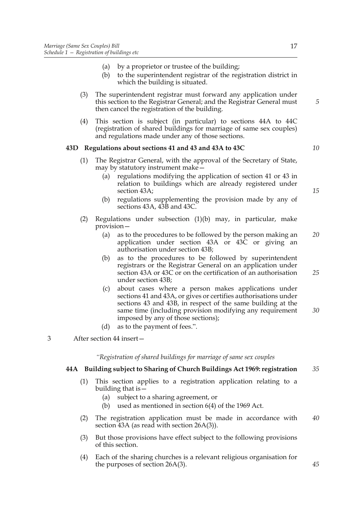- (a) by a proprietor or trustee of the building;
- (b) to the superintendent registrar of the registration district in which the building is situated.
- (3) The superintendent registrar must forward any application under this section to the Registrar General; and the Registrar General must then cancel the registration of the building.
- (4) This section is subject (in particular) to sections 44A to 44C (registration of shared buildings for marriage of same sex couples) and regulations made under any of those sections.

#### **43D Regulations about sections 41 and 43 and 43A to 43C**

- (1) The Registrar General, with the approval of the Secretary of State, may by statutory instrument make—
	- (a) regulations modifying the application of section 41 or 43 in relation to buildings which are already registered under section 43A;
	- (b) regulations supplementing the provision made by any of sections 43A, 43B and 43C.
- (2) Regulations under subsection (1)(b) may, in particular, make provision—
	- (a) as to the procedures to be followed by the person making an application under section 43A or 43C or giving an authorisation under section 43B; *20*
	- (b) as to the procedures to be followed by superintendent registrars or the Registrar General on an application under section 43A or 43C or on the certification of an authorisation under section 43B; *25*
	- (c) about cases where a person makes applications under sections 41 and 43A, or gives or certifies authorisations under sections 43 and 43B, in respect of the same building at the same time (including provision modifying any requirement imposed by any of those sections); *30*
	- (d) as to the payment of fees.".
- 3 After section 44 insert—

*"Registration of shared buildings for marriage of same sex couples*

#### **44A Building subject to Sharing of Church Buildings Act 1969: registration** *35*

- (1) This section applies to a registration application relating to a building that is—
	- (a) subject to a sharing agreement, or
	- (b) used as mentioned in section 6(4) of the 1969 Act.
- (2) The registration application must be made in accordance with section 43A (as read with section 26A(3)). *40*
- (3) But those provisions have effect subject to the following provisions of this section.
- (4) Each of the sharing churches is a relevant religious organisation for the purposes of section 26A(3).

*10*

*5*

*15*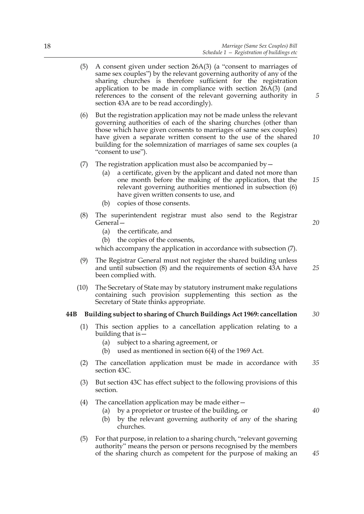| (5)  | A consent given under section $26A(3)$ (a "consent to marriages of<br>same sex couples") by the relevant governing authority of any of the<br>sharing churches is therefore sufficient for the registration<br>application to be made in compliance with section $26A(3)$ (and<br>references to the consent of the relevant governing authority in<br>section 43A are to be read accordingly). | 5  |
|------|------------------------------------------------------------------------------------------------------------------------------------------------------------------------------------------------------------------------------------------------------------------------------------------------------------------------------------------------------------------------------------------------|----|
| (6)  | But the registration application may not be made unless the relevant<br>governing authorities of each of the sharing churches (other than<br>those which have given consents to marriages of same sex couples)<br>have given a separate written consent to the use of the shared<br>building for the solemnization of marriages of same sex couples (a<br>"consent to use").                   | 10 |
| (7)  | The registration application must also be accompanied by $-$<br>a certificate, given by the applicant and dated not more than<br>(a)<br>one month before the making of the application, that the<br>relevant governing authorities mentioned in subsection (6)<br>have given written consents to use, and<br>copies of those consents.<br>(b)                                                  | 15 |
| (8)  | The superintendent registrar must also send to the Registrar<br>General-<br>(a) the certificate, and<br>the copies of the consents,<br>(b)<br>which accompany the application in accordance with subsection (7).                                                                                                                                                                               | 20 |
| (9)  | The Registrar General must not register the shared building unless<br>and until subsection (8) and the requirements of section 43A have<br>been complied with.                                                                                                                                                                                                                                 | 25 |
| (10) | The Secretary of State may by statutory instrument make regulations<br>containing such provision supplementing this section as the<br>Secretary of State thinks appropriate.                                                                                                                                                                                                                   |    |
| 44 B | Building subject to sharing of Church Buildings Act 1969: cancellation                                                                                                                                                                                                                                                                                                                         | 30 |
| (1)  | This section applies to a cancellation application relating to a<br>building that is -<br>subject to a sharing agreement, or<br>(a)<br>used as mentioned in section $6(4)$ of the 1969 Act.<br>(b)                                                                                                                                                                                             |    |
| (2)  | The cancellation application must be made in accordance with<br>section 43C.                                                                                                                                                                                                                                                                                                                   | 35 |
| (3)  | But section 43C has effect subject to the following provisions of this<br>section.                                                                                                                                                                                                                                                                                                             |    |
| (4)  | The cancellation application may be made either -<br>by a proprietor or trustee of the building, or<br>(a)<br>by the relevant governing authority of any of the sharing<br>(b)<br>churches.                                                                                                                                                                                                    | 40 |
| (5)  | For that purpose, in relation to a sharing church, "relevant governing<br>authority" means the person or persons recognised by the members<br>of the sharing church as competent for the purpose of making an                                                                                                                                                                                  | 45 |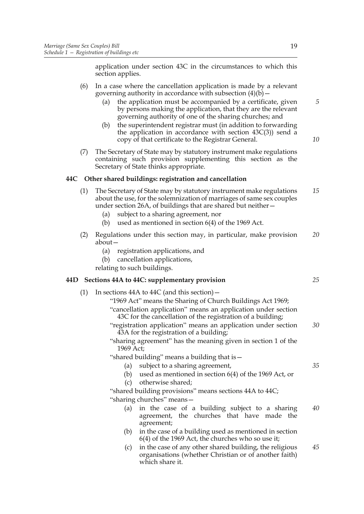application under section 43C in the circumstances to which this section applies.

- (6) In a case where the cancellation application is made by a relevant governing authority in accordance with subsection  $(4)(b)$  –
	- (a) the application must be accompanied by a certificate, given by persons making the application, that they are the relevant governing authority of one of the sharing churches; and
	- (b) the superintendent registrar must (in addition to forwarding the application in accordance with section  $43C(3)$ ) send a copy of that certificate to the Registrar General.
- (7) The Secretary of State may by statutory instrument make regulations containing such provision supplementing this section as the Secretary of State thinks appropriate.

### **44C Other shared buildings: registration and cancellation**

| (1) The Secretary of State may by statutory instrument make regulations | 15 |
|-------------------------------------------------------------------------|----|
| about the use, for the solemnization of marriages of same sex couples   |    |
| under section 26A, of buildings that are shared but neither –           |    |
|                                                                         |    |

- (a) subject to a sharing agreement, nor
- (b) used as mentioned in section 6(4) of the 1969 Act.
- (2) Regulations under this section may, in particular, make provision about— *20*
	- (a) registration applications, and
	- (b) cancellation applications,

relating to such buildings.

### **44D Sections 44A to 44C: supplementary provision**

- (1) In sections  $44A$  to  $44C$  (and this section)
	- "1969 Act" means the Sharing of Church Buildings Act 1969;
	- "cancellation application" means an application under section 43C for the cancellation of the registration of a building;
	- "registration application" means an application under section 43A for the registration of a building; *30*
	- "sharing agreement" has the meaning given in section 1 of the 1969 Act;

"shared building" means a building that is—

- (a) subject to a sharing agreement,
- (b) used as mentioned in section 6(4) of the 1969 Act, or
- (c) otherwise shared;

"shared building provisions" means sections 44A to 44C; "sharing churches" means—

- (a) in the case of a building subject to a sharing agreement, the churches that have made the agreement; *40*
- (b) in the case of a building used as mentioned in section 6(4) of the 1969 Act, the churches who so use it;
- (c) in the case of any other shared building, the religious organisations (whether Christian or of another faith) which share it. *45*

*5*

*10*

*25*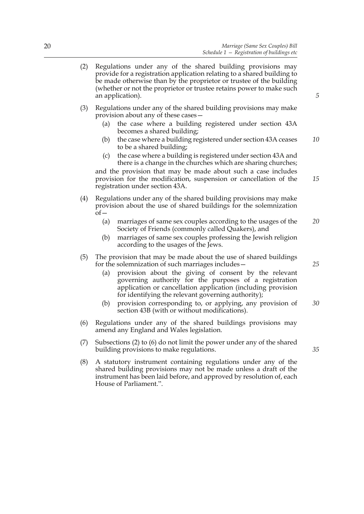| (2) | Regulations under any of the shared building provisions may<br>provide for a registration application relating to a shared building to<br>be made otherwise than by the proprietor or trustee of the building<br>(whether or not the proprietor or trustee retains power to make such<br>an application). | 5  |
|-----|-----------------------------------------------------------------------------------------------------------------------------------------------------------------------------------------------------------------------------------------------------------------------------------------------------------|----|
| (3) | Regulations under any of the shared building provisions may make<br>provision about any of these cases -                                                                                                                                                                                                  |    |
|     | the case where a building registered under section 43A<br>(a)<br>becomes a shared building;                                                                                                                                                                                                               |    |
|     | the case where a building registered under section 43A ceases<br>(b)<br>to be a shared building;                                                                                                                                                                                                          | 10 |
|     | the case where a building is registered under section 43A and<br>(c)<br>there is a change in the churches which are sharing churches;                                                                                                                                                                     |    |
|     | and the provision that may be made about such a case includes<br>provision for the modification, suspension or cancellation of the<br>registration under section 43A.                                                                                                                                     | 15 |
| (4) | Regulations under any of the shared building provisions may make<br>provision about the use of shared buildings for the solemnization<br>$of -$                                                                                                                                                           |    |
|     | marriages of same sex couples according to the usages of the<br>(a)<br>Society of Friends (commonly called Quakers), and                                                                                                                                                                                  | 20 |
|     | marriages of same sex couples professing the Jewish religion<br>(b)<br>according to the usages of the Jews.                                                                                                                                                                                               |    |
| (5) | The provision that may be made about the use of shared buildings<br>for the solemnization of such marriages includes -                                                                                                                                                                                    | 25 |
|     | provision about the giving of consent by the relevant<br>(a)<br>governing authority for the purposes of a registration<br>application or cancellation application (including provision<br>for identifying the relevant governing authority);                                                              |    |
|     | provision corresponding to, or applying, any provision of<br>(b)<br>section 43B (with or without modifications).                                                                                                                                                                                          | 30 |
| (6) | Regulations under any of the shared buildings provisions may<br>amend any England and Wales legislation.                                                                                                                                                                                                  |    |
| (7) | Subsections (2) to (6) do not limit the power under any of the shared<br>building provisions to make regulations.                                                                                                                                                                                         | 35 |
| (8) | A statutory instrument containing requisions under any of the                                                                                                                                                                                                                                             |    |

(8) A statutory instrument containing regulations under any of the shared building provisions may not be made unless a draft of the instrument has been laid before, and approved by resolution of, each House of Parliament.".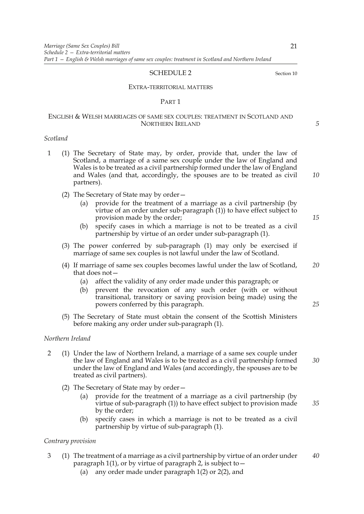#### SCHEDULE 2 Section 10

#### EXTRA-TERRITORIAL MATTERS

#### PART 1

#### ENGLISH & WELSH MARRIAGES OF SAME SEX COUPLES: TREATMENT IN SCOTLAND AND NORTHERN IRELAND

#### *Scotland*

- 1 (1) The Secretary of State may, by order, provide that, under the law of Scotland, a marriage of a same sex couple under the law of England and Wales is to be treated as a civil partnership formed under the law of England and Wales (and that, accordingly, the spouses are to be treated as civil partners).
	- (2) The Secretary of State may by order—
		- (a) provide for the treatment of a marriage as a civil partnership (by virtue of an order under sub-paragraph (1)) to have effect subject to provision made by the order;
		- (b) specify cases in which a marriage is not to be treated as a civil partnership by virtue of an order under sub-paragraph (1).
	- (3) The power conferred by sub-paragraph (1) may only be exercised if marriage of same sex couples is not lawful under the law of Scotland.
	- (4) If marriage of same sex couples becomes lawful under the law of Scotland, that does not— *20*
		- (a) affect the validity of any order made under this paragraph; or
		- (b) prevent the revocation of any such order (with or without transitional, transitory or saving provision being made) using the powers conferred by this paragraph.
	- (5) The Secretary of State must obtain the consent of the Scottish Ministers before making any order under sub-paragraph (1).

#### *Northern Ireland*

- 2 (1) Under the law of Northern Ireland, a marriage of a same sex couple under the law of England and Wales is to be treated as a civil partnership formed under the law of England and Wales (and accordingly, the spouses are to be treated as civil partners). *30*
	- (2) The Secretary of State may by order—
		- (a) provide for the treatment of a marriage as a civil partnership (by virtue of sub-paragraph (1)) to have effect subject to provision made by the order; *35*
		- (b) specify cases in which a marriage is not to be treated as a civil partnership by virtue of sub-paragraph (1).

#### *Contrary provision*

- 3 (1) The treatment of a marriage as a civil partnership by virtue of an order under paragraph 1(1), or by virtue of paragraph 2, is subject to  $-$ *40*
	- (a) any order made under paragraph 1(2) or 2(2), and

*5*

*10*

*15*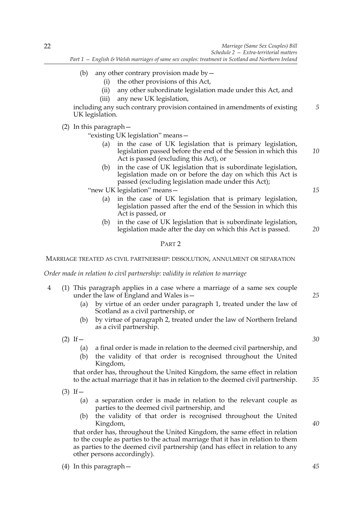- (b) any other contrary provision made by—
	- (i) the other provisions of this Act,
	- (ii) any other subordinate legislation made under this Act, and
	- (iii) any new UK legislation,

including any such contrary provision contained in amendments of existing UK legislation. *5*

- (2) In this paragraph—
	- "existing UK legislation" means—
		- (a) in the case of UK legislation that is primary legislation, legislation passed before the end of the Session in which this Act is passed (excluding this Act), or *10*
		- (b) in the case of UK legislation that is subordinate legislation, legislation made on or before the day on which this Act is passed (excluding legislation made under this Act);

"new UK legislation" means—

- (a) in the case of UK legislation that is primary legislation, legislation passed after the end of the Session in which this Act is passed, or
- (b) in the case of UK legislation that is subordinate legislation, legislation made after the day on which this Act is passed.

### PART 2

### MARRIAGE TREATED AS CIVIL PARTNERSHIP: DISSOLUTION, ANNULMENT OR SEPARATION

*Order made in relation to civil partnership: validity in relation to marriage*

- 4 (1) This paragraph applies in a case where a marriage of a same sex couple under the law of England and Wales is—
	- (a) by virtue of an order under paragraph 1, treated under the law of Scotland as a civil partnership, or
	- (b) by virtue of paragraph 2, treated under the law of Northern Ireland as a civil partnership.
	- $(2)$  If  $-$ 
		- (a) a final order is made in relation to the deemed civil partnership, and
		- (b) the validity of that order is recognised throughout the United Kingdom,

that order has, throughout the United Kingdom, the same effect in relation to the actual marriage that it has in relation to the deemed civil partnership.

 $(3)$  If  $-$ 

- (a) a separation order is made in relation to the relevant couple as parties to the deemed civil partnership, and
- (b) the validity of that order is recognised throughout the United Kingdom,

that order has, throughout the United Kingdom, the same effect in relation to the couple as parties to the actual marriage that it has in relation to them as parties to the deemed civil partnership (and has effect in relation to any other persons accordingly).

(4) In this paragraph—

*40*

*15*

*20*

- 
- *25*

*30*

*35*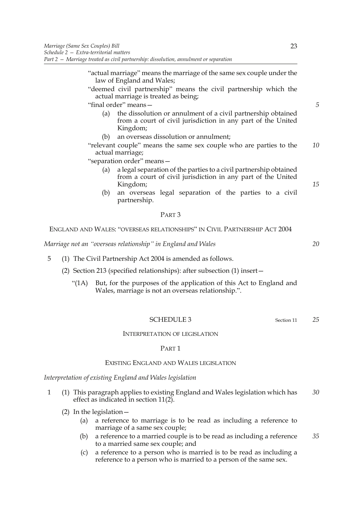"actual marriage" means the marriage of the same sex couple under the law of England and Wales;

"deemed civil partnership" means the civil partnership which the actual marriage is treated as being;

"final order" means—

- (a) the dissolution or annulment of a civil partnership obtained from a court of civil jurisdiction in any part of the United Kingdom;
- (b) an overseas dissolution or annulment;

"relevant couple" means the same sex couple who are parties to the actual marriage; *10*

"separation order" means—

- (a) a legal separation of the parties to a civil partnership obtained from a court of civil jurisdiction in any part of the United Kingdom;
- (b) an overseas legal separation of the parties to a civil partnership.

#### PART 3

ENGLAND AND WALES: "OVERSEAS RELATIONSHIPS" IN CIVIL PARTNERSHIP ACT 2004

*Marriage not an "overseas relationship" in England and Wales*

- 5 (1) The Civil Partnership Act 2004 is amended as follows.
	- (2) Section 213 (specified relationships): after subsection (1) insert—
		- "(1A) But, for the purposes of the application of this Act to England and Wales, marriage is not an overseas relationship.".

### SCHEDULE 3 Section 11

#### INTERPRETATION OF LEGISLATION

#### PART 1

#### EXISTING ENGLAND AND WALES LEGISLATION

*Interpretation of existing England and Wales legislation*

- 1 (1) This paragraph applies to existing England and Wales legislation which has effect as indicated in section 11(2). *30*
	- (2) In the legislation—
		- (a) a reference to marriage is to be read as including a reference to marriage of a same sex couple;
		- (b) a reference to a married couple is to be read as including a reference to a married same sex couple; and *35*
		- (c) a reference to a person who is married is to be read as including a reference to a person who is married to a person of the same sex.

*15*

*5*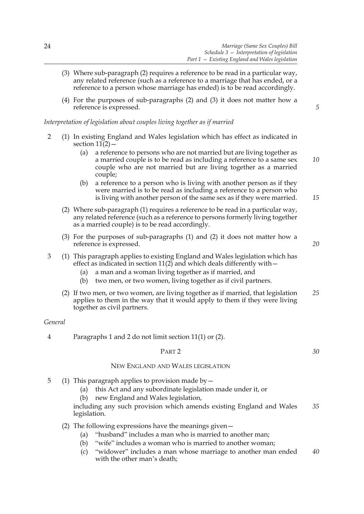- (3) Where sub-paragraph (2) requires a reference to be read in a particular way, any related reference (such as a reference to a marriage that has ended, or a reference to a person whose marriage has ended) is to be read accordingly.
- (4) For the purposes of sub-paragraphs (2) and (3) it does not matter how a reference is expressed.

*Interpretation of legislation about couples living together as if married*

- 2 (1) In existing England and Wales legislation which has effect as indicated in section  $11(2)$  –
	- (a) a reference to persons who are not married but are living together as a married couple is to be read as including a reference to a same sex couple who are not married but are living together as a married couple; *10*
	- (b) a reference to a person who is living with another person as if they were married is to be read as including a reference to a person who is living with another person of the same sex as if they were married.
	- (2) Where sub-paragraph (1) requires a reference to be read in a particular way, any related reference (such as a reference to persons formerly living together as a married couple) is to be read accordingly.
	- (3) For the purposes of sub-paragraphs (1) and (2) it does not matter how a reference is expressed.
- 3 (1) This paragraph applies to existing England and Wales legislation which has effect as indicated in section  $11(2)$  and which deals differently with –
	- a man and a woman living together as if married, and
	- (b) two men, or two women, living together as if civil partners.
	- (2) If two men, or two women, are living together as if married, that legislation applies to them in the way that it would apply to them if they were living together as civil partners. *25*

### *General*

4 Paragraphs 1 and 2 do not limit section 11(1) or (2).

### PART 2

#### NEW ENGLAND AND WALES LEGISLATION

- 5 (1) This paragraph applies to provision made by—
	- (a) this Act and any subordinate legislation made under it, or
	- (b) new England and Wales legislation,

including any such provision which amends existing England and Wales legislation. *35*

- (2) The following expressions have the meanings given—
	- (a) "husband" includes a man who is married to another man;
	- (b) "wife" includes a woman who is married to another woman;
	- (c) "widower" includes a man whose marriage to another man ended with the other man's death; *40*

*15*

*5*

*20*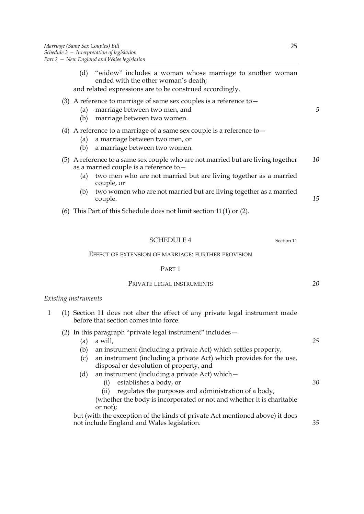(d) "widow" includes a woman whose marriage to another woman ended with the other woman's death; and related expressions are to be construed accordingly. (3) A reference to marriage of same sex couples is a reference to— (a) marriage between two men, and (b) marriage between two women. (4) A reference to a marriage of a same sex couple is a reference to  $-$ (a) a marriage between two men, or (b) a marriage between two women. (5) A reference to a same sex couple who are not married but are living together as a married couple is a reference to— (a) two men who are not married but are living together as a married couple, or (b) two women who are not married but are living together as a married couple. (6) This Part of this Schedule does not limit section 11(1) or (2). SCHEDULE 4 Section 11 EFFECT OF EXTENSION OF MARRIAGE: FURTHER PROVISION *5 15*

#### PART 1

PRIVATE LEGAL INSTRUMENTS

#### *Existing instruments*

|  | (1) Section 11 does not alter the effect of any private legal instrument made |  |  |  |  |
|--|-------------------------------------------------------------------------------|--|--|--|--|
|  | before that section comes into force.                                         |  |  |  |  |

- (2) In this paragraph "private legal instrument" includes—
	- (a) a will,
	- (b) an instrument (including a private Act) which settles property,
	- (c) an instrument (including a private Act) which provides for the use, disposal or devolution of property, and
	- (d) an instrument (including a private Act) which—
		- (i) establishes a body, or
		- (ii) regulates the purposes and administration of a body,

(whether the body is incorporated or not and whether it is charitable or not);

but (with the exception of the kinds of private Act mentioned above) it does not include England and Wales legislation.

*10*

*20*

*25*

*30*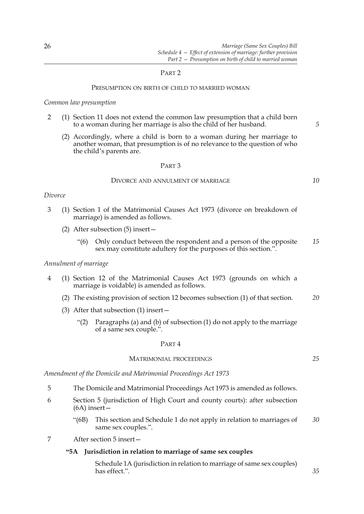#### PART 2

#### PRESUMPTION ON BIRTH OF CHILD TO MARRIED WOMAN

#### *Common law presumption*

- 2 (1) Section 11 does not extend the common law presumption that a child born to a woman during her marriage is also the child of her husband.
	- (2) Accordingly, where a child is born to a woman during her marriage to another woman, that presumption is of no relevance to the question of who the child's parents are.

#### PART 3

#### DIVORCE AND ANNULMENT OF MARRIAGE

#### *Divorce*

- 3 (1) Section 1 of the Matrimonial Causes Act 1973 (divorce on breakdown of marriage) is amended as follows.
	- (2) After subsection (5) insert—
		- "(6) Only conduct between the respondent and a person of the opposite sex may constitute adultery for the purposes of this section.". *15*

#### *Annulment of marriage*

- 4 (1) Section 12 of the Matrimonial Causes Act 1973 (grounds on which a marriage is voidable) is amended as follows.
	- (2) The existing provision of section 12 becomes subsection (1) of that section. *20*
	- (3) After that subsection  $(1)$  insert  $-$ 
		- "(2) Paragraphs (a) and (b) of subsection (1) do not apply to the marriage of a same sex couple.".

#### PART 4

#### MATRIMONIAL PROCEEDINGS

*Amendment of the Domicile and Matrimonial Proceedings Act 1973*

- 5 The Domicile and Matrimonial Proceedings Act 1973 is amended as follows.
- 6 Section 5 (jurisdiction of High Court and county courts): after subsection  $(6A)$  insert –
	- "(6B) This section and Schedule 1 do not apply in relation to marriages of same sex couples.". *30*
- 7 After section 5 insert—

### **"5A Jurisdiction in relation to marriage of same sex couples**

Schedule 1A (jurisdiction in relation to marriage of same sex couples) has effect.".

*10*

*5*

*25*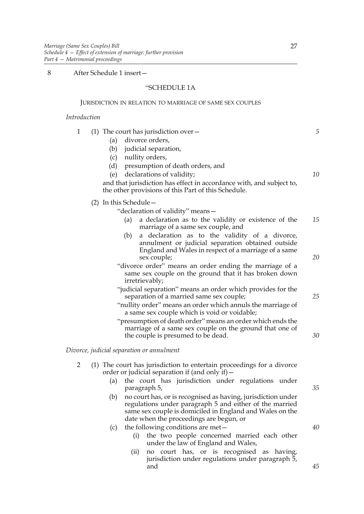### 8 After Schedule 1 insert—

### "SCHEDULE 1A

### JURISDICTION IN RELATION TO MARRIAGE OF SAME SEX COUPLES

### *Introduction*

| $\mathbf{1}$ | (a)                                       | (1) The court has jurisdiction over $-$<br>divorce orders,                                                                                                                                                                              | 5  |
|--------------|-------------------------------------------|-----------------------------------------------------------------------------------------------------------------------------------------------------------------------------------------------------------------------------------------|----|
|              | (b)<br>(c)<br>(d)<br>(e)                  | judicial separation,<br>nullity orders,<br>presumption of death orders, and<br>declarations of validity;<br>and that jurisdiction has effect in accordance with, and subject to,<br>the other provisions of this Part of this Schedule. | 10 |
|              | $(2)$ In this Schedule –                  |                                                                                                                                                                                                                                         |    |
|              | (a)                                       | "declaration of validity" means-<br>a declaration as to the validity or existence of the<br>marriage of a same sex couple, and                                                                                                          | 15 |
|              | (b)                                       | a declaration as to the validity of a divorce,<br>annulment or judicial separation obtained outside<br>England and Wales in respect of a marriage of a same<br>sex couple;                                                              | 20 |
|              | irretrievably;                            | "divorce order" means an order ending the marriage of a<br>same sex couple on the ground that it has broken down                                                                                                                        |    |
|              |                                           | "judicial separation" means an order which provides for the<br>separation of a married same sex couple;                                                                                                                                 | 25 |
|              |                                           | "nullity order" means an order which annuls the marriage of<br>a same sex couple which is void or voidable;                                                                                                                             |    |
|              |                                           | "presumption of death order" means an order which ends the<br>marriage of a same sex couple on the ground that one of<br>the couple is presumed to be dead.                                                                             | 30 |
|              | Divorce, judicial separation or annulment |                                                                                                                                                                                                                                         |    |
| 2            |                                           | (1) The court has jurisdiction to entertain proceedings for a divorce<br>order or judicial separation if (and only if) $-$                                                                                                              |    |
|              | (a)<br>paragraph 5,                       | the court has jurisdiction under regulations under                                                                                                                                                                                      | 35 |
|              |                                           | (b) no court has, or is recognised as having, jurisdiction under<br>regulations under paragraph 5 and either of the married<br>same sex couple is domiciled in England and Wales on the<br>date when the proceedings are begun, or      |    |
|              | (c)                                       | the following conditions are met-                                                                                                                                                                                                       | 40 |
|              | (i)                                       | the two people concerned married each other<br>under the law of England and Wales,                                                                                                                                                      |    |
|              | (ii)                                      | no court has, or is recognised as having,<br>jurisdiction under regulations under paragraph 5,<br>and                                                                                                                                   | 45 |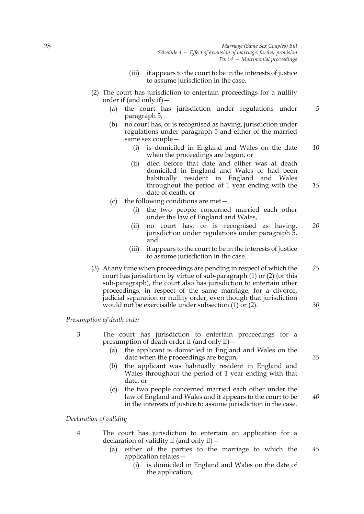- (iii) it appears to the court to be in the interests of justice to assume jurisdiction in the case.
- (2) The court has jurisdiction to entertain proceedings for a nullity order if (and only if)—
	- (a) the court has jurisdiction under regulations under paragraph 5, *5*
	- (b) no court has, or is recognised as having, jurisdiction under regulations under paragraph 5 and either of the married same sex couple—
		- (i) is domiciled in England and Wales on the date when the proceedings are begun, or *10*
		- (ii) died before that date and either was at death domiciled in England and Wales or had been habitually resident in England and Wales throughout the period of 1 year ending with the date of death, or *15*
	- (c) the following conditions are met $-$ 
		- (i) the two people concerned married each other under the law of England and Wales,
		- (ii) no court has, or is recognised as having, jurisdiction under regulations under paragraph 5, and *20*
		- (iii) it appears to the court to be in the interests of justice to assume jurisdiction in the case.
- (3) At any time when proceedings are pending in respect of which the court has jurisdiction by virtue of sub-paragraph (1) or (2) (or this sub-paragraph), the court also has jurisdiction to entertain other proceedings, in respect of the same marriage, for a divorce, judicial separation or nullity order, even though that jurisdiction would not be exercisable under subsection (1) or (2). *25 30*

*Presumption of death order*

- 3 The court has jurisdiction to entertain proceedings for a presumption of death order if (and only if)—
	- (a) the applicant is domiciled in England and Wales on the date when the proceedings are begun,
	- (b) the applicant was habitually resident in England and Wales throughout the period of 1 year ending with that date, or
	- (c) the two people concerned married each other under the law of England and Wales and it appears to the court to be in the interests of justice to assume jurisdiction in the case.

*Declaration of validity*

- 4 The court has jurisdiction to entertain an application for a declaration of validity if (and only if)—
	- (a) either of the parties to the marriage to which the application relates— *45*
		- (i) is domiciled in England and Wales on the date of the application,

*35*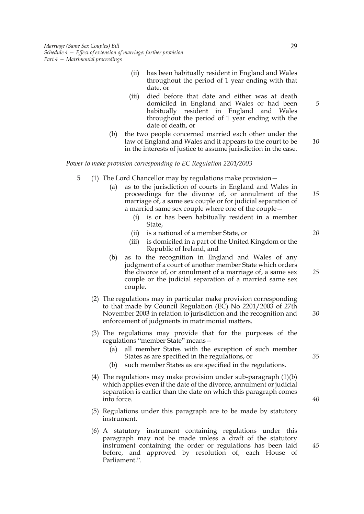- (ii) has been habitually resident in England and Wales throughout the period of 1 year ending with that date, or
- (iii) died before that date and either was at death domiciled in England and Wales or had been habitually resident in England and Wales throughout the period of 1 year ending with the date of death, or
- (b) the two people concerned married each other under the law of England and Wales and it appears to the court to be in the interests of justice to assume jurisdiction in the case. *10*

*Power to make provision corresponding to EC Regulation 2201/2003*

- 5 (1) The Lord Chancellor may by regulations make provision—
	- (a) as to the jurisdiction of courts in England and Wales in proceedings for the divorce of, or annulment of the marriage of, a same sex couple or for judicial separation of a married same sex couple where one of the couple—
		- (i) is or has been habitually resident in a member State,
		- (ii) is a national of a member State, or
		- (iii) is domiciled in a part of the United Kingdom or the Republic of Ireland, and
	- (b) as to the recognition in England and Wales of any judgment of a court of another member State which orders the divorce of, or annulment of a marriage of, a same sex couple or the judicial separation of a married same sex couple. *25*
	- (2) The regulations may in particular make provision corresponding to that made by Council Regulation (EC) No 2201/2003 of 27th November 2003 in relation to jurisdiction and the recognition and enforcement of judgments in matrimonial matters. *30*
	- (3) The regulations may provide that for the purposes of the regulations "member State" means—
		- (a) all member States with the exception of such member States as are specified in the regulations, or
		- (b) such member States as are specified in the regulations.
	- (4) The regulations may make provision under sub-paragraph (1)(b) which applies even if the date of the divorce, annulment or judicial separation is earlier than the date on which this paragraph comes into force.
	- (5) Regulations under this paragraph are to be made by statutory instrument.
	- (6) A statutory instrument containing regulations under this paragraph may not be made unless a draft of the statutory instrument containing the order or regulations has been laid before, and approved by resolution of, each House of Parliament.".

*5*

*15*

*20*

*35*

*40*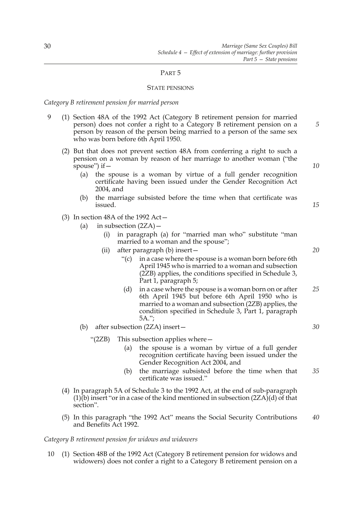#### PART 5

#### STATE PENSIONS

#### *Category B retirement pension for married person*

- 9 (1) Section 48A of the 1992 Act (Category B retirement pension for married person) does not confer a right to a Category B retirement pension on a person by reason of the person being married to a person of the same sex who was born before 6th April 1950.
	- (2) But that does not prevent section 48A from conferring a right to such a pension on a woman by reason of her marriage to another woman ("the spouse") if—
		- (a) the spouse is a woman by virtue of a full gender recognition certificate having been issued under the Gender Recognition Act 2004, and
		- (b) the marriage subsisted before the time when that certificate was issued.
	- (3) In section 48A of the 1992  $Act-$ 
		- (a) in subsection  $(2ZA)$ 
			- in paragraph (a) for "married man who" substitute "man married to a woman and the spouse";
			- (ii) after paragraph (b) insert—
				- " $(c)$  in a case where the spouse is a woman born before 6th April 1945 who is married to a woman and subsection (2ZB) applies, the conditions specified in Schedule 3, Part 1, paragraph 5;
				- (d) in a case where the spouse is a woman born on or after 6th April 1945 but before 6th April 1950 who is married to a woman and subsection (2ZB) applies, the condition specified in Schedule 3, Part 1, paragraph 5A."; *25*
		- (b) after subsection (2ZA) insert—

#### "(2ZB) This subsection applies where  $-$

- (a) the spouse is a woman by virtue of a full gender recognition certificate having been issued under the Gender Recognition Act 2004, and
- (b) the marriage subsisted before the time when that certificate was issued." *35*
- (4) In paragraph 5A of Schedule 3 to the 1992 Act, at the end of sub-paragraph  $(1)(b)$  insert "or in a case of the kind mentioned in subsection  $(2ZA)(d)$  of that section".
- (5) In this paragraph "the 1992 Act" means the Social Security Contributions and Benefits Act 1992. *40*

#### *Category B retirement pension for widows and widowers*

10 (1) Section 48B of the 1992 Act (Category B retirement pension for widows and widowers) does not confer a right to a Category B retirement pension on a *20*

*5*

*10*

*15*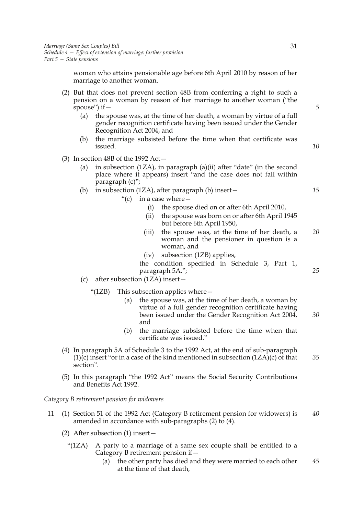woman who attains pensionable age before 6th April 2010 by reason of her marriage to another woman.

- (2) But that does not prevent section 48B from conferring a right to such a pension on a woman by reason of her marriage to another woman ("the spouse") if  $-$ 
	- (a) the spouse was, at the time of her death, a woman by virtue of a full gender recognition certificate having been issued under the Gender Recognition Act 2004, and
	- (b) the marriage subsisted before the time when that certificate was issued.
- (3) In section 48B of the 1992  $Act-$ 
	- (a) in subsection (1ZA), in paragraph (a)(ii) after "date" (in the second place where it appears) insert "and the case does not fall within paragraph (c)";
	- (b) in subsection (1ZA), after paragraph (b) insert—
		- "(c) in a case where  $-$ 
			- (i) the spouse died on or after 6th April 2010,
			- (ii) the spouse was born on or after 6th April 1945 but before 6th April 1950,
			- (iii) the spouse was, at the time of her death, a woman and the pensioner in question is a woman, and *20*
			- (iv) subsection (1ZB) applies,

the condition specified in Schedule 3, Part 1, paragraph 5A.";

- (c) after subsection (1ZA) insert—
	- "( $1ZB$ ) This subsection applies where  $-$ 
		- (a) the spouse was, at the time of her death, a woman by virtue of a full gender recognition certificate having been issued under the Gender Recognition Act 2004, and *30*
		- (b) the marriage subsisted before the time when that certificate was issued."
- (4) In paragraph 5A of Schedule 3 to the 1992 Act, at the end of sub-paragraph  $(1)(c)$  insert "or in a case of the kind mentioned in subsection  $(1ZA)(c)$  of that section". *35*
- (5) In this paragraph "the 1992 Act" means the Social Security Contributions and Benefits Act 1992.

*Category B retirement pension for widowers*

- 11 (1) Section 51 of the 1992 Act (Category B retirement pension for widowers) is amended in accordance with sub-paragraphs (2) to (4). *40*
	- (2) After subsection (1) insert—
		- "(1ZA) A party to a marriage of a same sex couple shall be entitled to a Category B retirement pension if—
			- (a) the other party has died and they were married to each other at the time of that death, *45*

*15*

*25*

*10*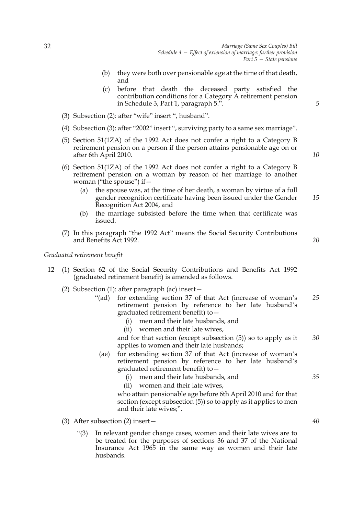- (b) they were both over pensionable age at the time of that death, and
- (c) before that death the deceased party satisfied the contribution conditions for a Category A retirement pension in Schedule 3, Part 1, paragraph 5.".
- (3) Subsection (2): after "wife" insert ", husband".
- (4) Subsection (3): after "2002" insert ", surviving party to a same sex marriage".
- (5) Section 51(1ZA) of the 1992 Act does not confer a right to a Category B retirement pension on a person if the person attains pensionable age on or after 6th April 2010.
- (6) Section 51(1ZA) of the 1992 Act does not confer a right to a Category B retirement pension on a woman by reason of her marriage to another woman ("the spouse") if—
	- (a) the spouse was, at the time of her death, a woman by virtue of a full gender recognition certificate having been issued under the Gender Recognition Act 2004, and
	- (b) the marriage subsisted before the time when that certificate was issued.
- (7) In this paragraph "the 1992 Act" means the Social Security Contributions and Benefits Act 1992.

*Graduated retirement benefit*

- 12 (1) Section 62 of the Social Security Contributions and Benefits Act 1992 (graduated retirement benefit) is amended as follows.
	- (2) Subsection (1): after paragraph (ac) insert—
		- "(ad) for extending section 37 of that Act (increase of woman's retirement pension by reference to her late husband's graduated retirement benefit) to— *25*
			- (i) men and their late husbands, and
			- (ii) women and their late wives,

and for that section (except subsection (5)) so to apply as it applies to women and their late husbands; *30*

- (ae) for extending section 37 of that Act (increase of woman's retirement pension by reference to her late husband's graduated retirement benefit) to—
	- (i) men and their late husbands, and
	- (ii) women and their late wives,

who attain pensionable age before 6th April 2010 and for that section (except subsection (5)) so to apply as it applies to men and their late wives;".

- (3) After subsection (2) insert—
	- In relevant gender change cases, women and their late wives are to be treated for the purposes of sections 36 and 37 of the National Insurance Act 1965 in the same way as women and their late husbands.

*40*

*35*

*10*

*15*

*5*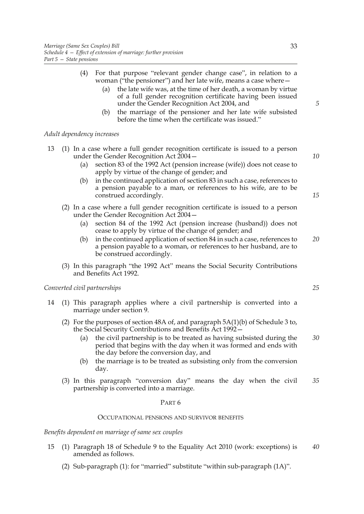- (4) For that purpose "relevant gender change case", in relation to a woman ("the pensioner") and her late wife, means a case where—
	- (a) the late wife was, at the time of her death, a woman by virtue of a full gender recognition certificate having been issued under the Gender Recognition Act 2004, and
	- (b) the marriage of the pensioner and her late wife subsisted before the time when the certificate was issued."

### *Adult dependency increases*

- 13 (1) In a case where a full gender recognition certificate is issued to a person under the Gender Recognition Act 2004—
	- (a) section 83 of the 1992 Act (pension increase (wife)) does not cease to apply by virtue of the change of gender; and
	- (b) in the continued application of section 83 in such a case, references to a pension payable to a man, or references to his wife, are to be construed accordingly.
	- (2) In a case where a full gender recognition certificate is issued to a person under the Gender Recognition Act 2004—
		- (a) section 84 of the 1992 Act (pension increase (husband)) does not cease to apply by virtue of the change of gender; and
		- (b) in the continued application of section 84 in such a case, references to a pension payable to a woman, or references to her husband, are to be construed accordingly. *20*
	- (3) In this paragraph "the 1992 Act" means the Social Security Contributions and Benefits Act 1992.

#### *Converted civil partnerships*

- 14 (1) This paragraph applies where a civil partnership is converted into a marriage under section 9.
	- (2) For the purposes of section 48A of, and paragraph 5A(1)(b) of Schedule 3 to, the Social Security Contributions and Benefits Act 1992—
		- (a) the civil partnership is to be treated as having subsisted during the period that begins with the day when it was formed and ends with the day before the conversion day, and *30*
		- (b) the marriage is to be treated as subsisting only from the conversion day.
	- (3) In this paragraph "conversion day" means the day when the civil partnership is converted into a marriage. *35*

#### PART 6

#### OCCUPATIONAL PENSIONS AND SURVIVOR BENEFITS

*Benefits dependent on marriage of same sex couples*

- 15 (1) Paragraph 18 of Schedule 9 to the Equality Act 2010 (work: exceptions) is amended as follows. *40*
	- (2) Sub-paragraph (1): for "married" substitute "within sub-paragraph (1A)".

*5*

*10*

*15*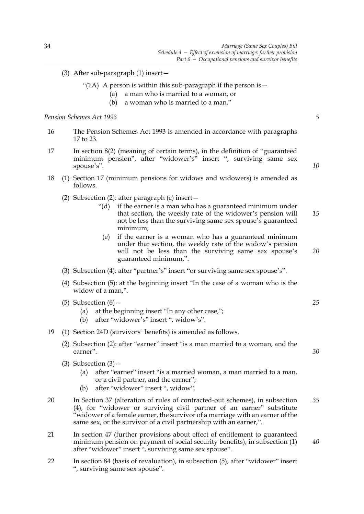(3) After sub-paragraph (1) insert—

"(1A) A person is within this sub-paragraph if the person is  $-$ 

- (a) a man who is married to a woman, or
- (b) a woman who is married to a man."

*Pension Schemes Act 1993*

*5*

*10*

- 16 The Pension Schemes Act 1993 is amended in accordance with paragraphs 17 to 23.
- 17 In section 8(2) (meaning of certain terms), in the definition of "guaranteed minimum pension", after "widower's" insert ", surviving same sex spouse's".
- 18 (1) Section 17 (minimum pensions for widows and widowers) is amended as follows.
	- (2) Subsection (2): after paragraph (c) insert—
		- "(d) if the earner is a man who has a guaranteed minimum under that section, the weekly rate of the widower's pension will not be less than the surviving same sex spouse's guaranteed minimum; *15*
		- (e) if the earner is a woman who has a guaranteed minimum under that section, the weekly rate of the widow's pension will not be less than the surviving same sex spouse's guaranteed minimum.".
	- (3) Subsection (4): after "partner's" insert "or surviving same sex spouse's".
	- (4) Subsection (5): at the beginning insert "In the case of a woman who is the widow of a man,".

| (5) Subsection $(6)$ – |  |  |
|------------------------|--|--|
|------------------------|--|--|

- (a) at the beginning insert "In any other case,";
- (b) after "widower's" insert ", widow's".
- 19 (1) Section 24D (survivors' benefits) is amended as follows.
	- (2) Subsection (2): after "earner" insert "is a man married to a woman, and the earner".
	- (3) Subsection  $(3)$ 
		- (a) after "earner" insert "is a married woman, a man married to a man, or a civil partner, and the earner";
		- (b) after "widower" insert ", widow".
- 20 In Section 37 (alteration of rules of contracted-out schemes), in subsection (4), for "widower or surviving civil partner of an earner" substitute "widower of a female earner, the survivor of a marriage with an earner of the same sex, or the survivor of a civil partnership with an earner,". *35*
- 21 In section 47 (further provisions about effect of entitlement to guaranteed minimum pension on payment of social security benefits), in subsection (1) after "widower" insert ", surviving same sex spouse".
- 22 In section 84 (basis of revaluation), in subsection (5), after "widower" insert ", surviving same sex spouse".

34

*25*

*20*

*30*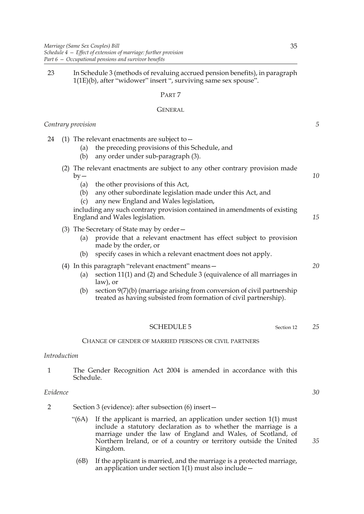23 In Schedule 3 (methods of revaluing accrued pension benefits), in paragraph 1(1E)(b), after "widower" insert ", surviving same sex spouse".

#### PART 7

#### **GENERAL**

#### *Contrary provision*

- 24 (1) The relevant enactments are subject to—
	- (a) the preceding provisions of this Schedule, and
	- (b) any order under sub-paragraph (3).
	- (2) The relevant enactments are subject to any other contrary provision made  $by -$ 
		- (a) the other provisions of this Act,
		- (b) any other subordinate legislation made under this Act, and
		- (c) any new England and Wales legislation,

including any such contrary provision contained in amendments of existing England and Wales legislation.

#### (3) The Secretary of State may by order—

- (a) provide that a relevant enactment has effect subject to provision made by the order, or
- (b) specify cases in which a relevant enactment does not apply.
- (4) In this paragraph "relevant enactment" means—
	- (a) section 11(1) and (2) and Schedule 3 (equivalence of all marriages in law), or
	- (b) section 9(7)(b) (marriage arising from conversion of civil partnership treated as having subsisted from formation of civil partnership).
		- SCHEDULE 5 Section 12

CHANGE OF GENDER OF MARRIED PERSONS OR CIVIL PARTNERS

#### *Introduction*

1 The Gender Recognition Act 2004 is amended in accordance with this Schedule.

#### *Evidence*

- 2 Section 3 (evidence): after subsection (6) insert—
	- "(6A) If the applicant is married, an application under section 1(1) must include a statutory declaration as to whether the marriage is a marriage under the law of England and Wales, of Scotland, of Northern Ireland, or of a country or territory outside the United Kingdom.
		- (6B) If the applicant is married, and the marriage is a protected marriage, an application under section 1(1) must also include—

*5*

*10*

*15*

*20*

*25*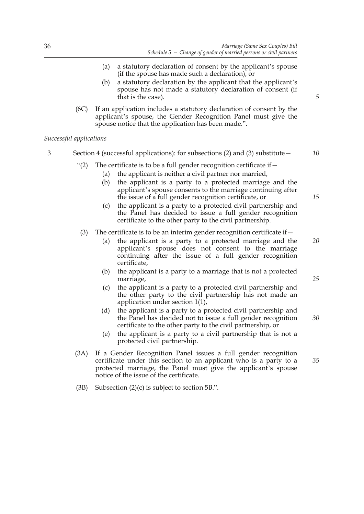- (a) a statutory declaration of consent by the applicant's spouse (if the spouse has made such a declaration), or
- (b) a statutory declaration by the applicant that the applicant's spouse has not made a statutory declaration of consent (if that is the case).
- (6C) If an application includes a statutory declaration of consent by the applicant's spouse, the Gender Recognition Panel must give the spouse notice that the application has been made.".

### *Successful applications*

- 3 Section 4 (successful applications): for subsections (2) and (3) substitute— *10*
	- "(2) The certificate is to be a full gender recognition certificate if  $-$ 
		- (a) the applicant is neither a civil partner nor married,
		- (b) the applicant is a party to a protected marriage and the applicant's spouse consents to the marriage continuing after the issue of a full gender recognition certificate, or
		- (c) the applicant is a party to a protected civil partnership and the Panel has decided to issue a full gender recognition certificate to the other party to the civil partnership.
	- (3) The certificate is to be an interim gender recognition certificate if  $-$ 
		- (a) the applicant is a party to a protected marriage and the applicant's spouse does not consent to the marriage continuing after the issue of a full gender recognition certificate, *20*
		- (b) the applicant is a party to a marriage that is not a protected marriage,
		- (c) the applicant is a party to a protected civil partnership and the other party to the civil partnership has not made an application under section 1(1),
		- (d) the applicant is a party to a protected civil partnership and the Panel has decided not to issue a full gender recognition certificate to the other party to the civil partnership, or *30*
		- (e) the applicant is a party to a civil partnership that is not a protected civil partnership.
	- (3A) If a Gender Recognition Panel issues a full gender recognition certificate under this section to an applicant who is a party to a protected marriage, the Panel must give the applicant's spouse notice of the issue of the certificate.
	- (3B) Subsection  $(2)(c)$  is subject to section 5B.".

*15*

*25*

*35*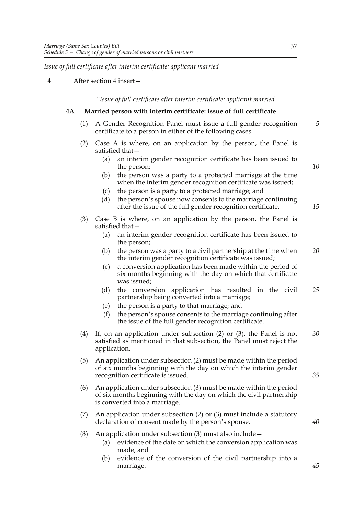*Issue of full certificate after interim certificate: applicant married*

### 4 After section 4 insert—

*"Issue of full certificate after interim certificate: applicant married*

#### **4A Married person with interim certificate: issue of full certificate**

- (1) A Gender Recognition Panel must issue a full gender recognition certificate to a person in either of the following cases. *5*
- (2) Case A is where, on an application by the person, the Panel is satisfied that—
	- (a) an interim gender recognition certificate has been issued to the person;
	- (b) the person was a party to a protected marriage at the time when the interim gender recognition certificate was issued;
	- (c) the person is a party to a protected marriage; and
	- (d) the person's spouse now consents to the marriage continuing after the issue of the full gender recognition certificate.
- (3) Case B is where, on an application by the person, the Panel is satisfied that—
	- (a) an interim gender recognition certificate has been issued to the person;
	- (b) the person was a party to a civil partnership at the time when the interim gender recognition certificate was issued; *20*
	- (c) a conversion application has been made within the period of six months beginning with the day on which that certificate was issued;
	- (d) the conversion application has resulted in the civil partnership being converted into a marriage; *25*
	- (e) the person is a party to that marriage; and
	- (f) the person's spouse consents to the marriage continuing after the issue of the full gender recognition certificate.
- (4) If, on an application under subsection (2) or (3), the Panel is not satisfied as mentioned in that subsection, the Panel must reject the application. *30*
- (5) An application under subsection (2) must be made within the period of six months beginning with the day on which the interim gender recognition certificate is issued.
- (6) An application under subsection (3) must be made within the period of six months beginning with the day on which the civil partnership is converted into a marriage.
- (7) An application under subsection (2) or (3) must include a statutory declaration of consent made by the person's spouse.
- (8) An application under subsection (3) must also include—
	- (a) evidence of the date on which the conversion application was made, and
	- (b) evidence of the conversion of the civil partnership into a marriage.

*10*

*15*

*35*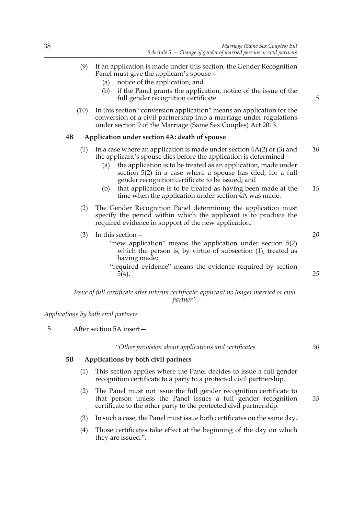- (9) If an application is made under this section, the Gender Recognition Panel must give the applicant's spouse—
	- (a) notice of the application; and
	- (b) if the Panel grants the application, notice of the issue of the full gender recognition certificate.
- (10) In this section "conversion application" means an application for the conversion of a civil partnership into a marriage under regulations under section 9 of the Marriage (Same Sex Couples) Act 2013.

### **4B Application under section 4A: death of spouse**

- (1) In a case where an application is made under section  $4A(2)$  or  $(3)$  and the applicant's spouse dies before the application is determined— *10*
	- (a) the application is to be treated as an application, made under section 5(2) in a case where a spouse has died, for a full gender recognition certificate to be issued; and
	- (b) that application is to be treated as having been made at the time when the application under section 4A was made. *15*
- (2) The Gender Recognition Panel determining the application must specify the period within which the applicant is to produce the required evidence in support of the new application.
- (3) In this section— "new application" means the application under section 5(2) which the person is, by virtue of subsection (1), treated as having made;
	- "required evidence" means the evidence required by section 5(4).

*Issue of full certificate after interim certificate: applicant no longer married or civil partner".*

*Applications by both civil partners*

5 After section 5A insert—

*"Other provision about applications and certificates*

### **5B Applications by both civil partners**

- (1) This section applies where the Panel decides to issue a full gender recognition certificate to a party to a protected civil partnership.
- (2) The Panel must not issue the full gender recognition certificate to that person unless the Panel issues a full gender recognition certificate to the other party to the protected civil partnership.
- (3) In such a case, the Panel must issue both certificates on the same day.
- (4) Those certificates take effect at the beginning of the day on which they are issued.".

*20*

*25*

*5*

*35*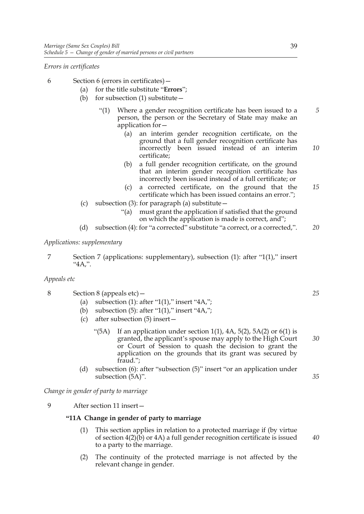*Errors in certificates*

- 6 Section 6 (errors in certificates)—
	- (a) for the title substitute "**Errors**";
	- (b) for subsection (1) substitute—
		- "(1) Where a gender recognition certificate has been issued to a person, the person or the Secretary of State may make an application for— *5*
			- (a) an interim gender recognition certificate, on the ground that a full gender recognition certificate has incorrectly been issued instead of an interim certificate;
			- (b) a full gender recognition certificate, on the ground that an interim gender recognition certificate has incorrectly been issued instead of a full certificate; or
			- (c) a corrected certificate, on the ground that the certificate which has been issued contains an error."; *15*
	- (c) subsection (3): for paragraph (a) substitute—
		- "(a) must grant the application if satisfied that the ground on which the application is made is correct, and";
	- (d) subsection (4): for "a corrected" substitute "a correct, or a corrected,". *20*

*Applications: supplementary*

7 Section 7 (applications: supplementary), subsection (1): after "1(1)," insert "4A,".

### *Appeals etc*

8 Section 8 (appeals etc)—

- (a) subsection (1): after " $1(1)$ ," insert " $4A$ ,";
- (b) subsection (5): after "1(1)," insert "4A,";
- (c) after subsection (5) insert—
	- "(5A) If an application under section 1(1), 4A, 5(2), 5A(2) or 6(1) is granted, the applicant's spouse may apply to the High Court or Court of Session to quash the decision to grant the application on the grounds that its grant was secured by fraud."; *30*
- (d) subsection (6): after "subsection (5)" insert "or an application under subsection (5A)".

*Change in gender of party to marriage*

9 After section 11 insert—

### **"11A Change in gender of party to marriage**

- (1) This section applies in relation to a protected marriage if (by virtue of section  $4(2)(\overrightarrow{b})$  or  $4A$ ) a full gender recognition certificate is issued to a party to the marriage.
- (2) The continuity of the protected marriage is not affected by the relevant change in gender.

*25*

*10*

*35*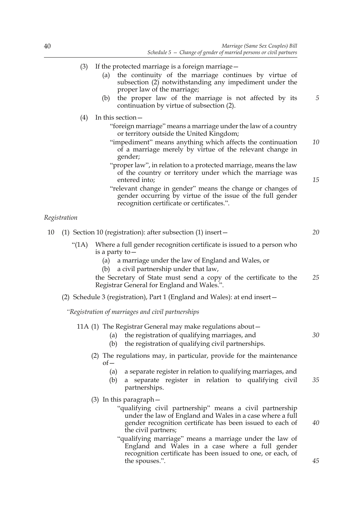*5*

*15*

*20*

*40*

*45*

- (a) the continuity of the marriage continues by virtue of subsection (2) notwithstanding any impediment under the proper law of the marriage;
- (b) the proper law of the marriage is not affected by its continuation by virtue of subsection (2).
- (4) In this section—
	- "foreign marriage" means a marriage under the law of a country or territory outside the United Kingdom;
	- "impediment" means anything which affects the continuation of a marriage merely by virtue of the relevant change in gender; *10*
	- "proper law", in relation to a protected marriage, means the law of the country or territory under which the marriage was entered into;
	- "relevant change in gender" means the change or changes of gender occurring by virtue of the issue of the full gender recognition certificate or certificates.".

### *Registration*

| 10 |                                   | (1) Section 10 (registration): after subsection $(1)$ insert –                                                                                                    | 20 |
|----|-----------------------------------|-------------------------------------------------------------------------------------------------------------------------------------------------------------------|----|
|    | "(1A)<br>is a party to $-$<br>(a) | Where a full gender recognition certificate is issued to a person who<br>a marriage under the law of England and Wales, or                                        |    |
|    | (b)                               | a civil partnership under that law,                                                                                                                               |    |
|    |                                   | the Secretary of State must send a copy of the certificate to the<br>Registrar General for England and Wales.".                                                   | 25 |
|    |                                   | (2) Schedule 3 (registration), Part 1 (England and Wales): at end insert-                                                                                         |    |
|    |                                   | "Registration of marriages and civil partnerships                                                                                                                 |    |
|    | (a)<br>(b)                        | 11A (1) The Registrar General may make regulations about –<br>the registration of qualifying marriages, and<br>the registration of qualifying civil partnerships. | 30 |
|    | $of -$                            | (2) The regulations may, in particular, provide for the maintenance                                                                                               |    |
|    | (a)<br>(b)                        | a separate register in relation to qualifying marriages, and<br>a separate register in relation to qualifying civil<br>partnerships.                              | 35 |

- (3) In this paragraph—
	- "qualifying civil partnership" means a civil partnership under the law of England and Wales in a case where a full gender recognition certificate has been issued to each of the civil partners;
	- "qualifying marriage" means a marriage under the law of England and Wales in a case where a full gender recognition certificate has been issued to one, or each, of the spouses.".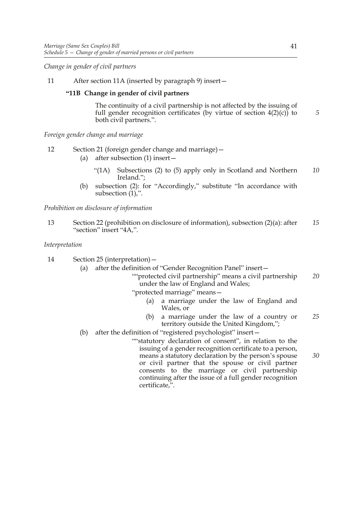*Change in gender of civil partners*

11 After section 11A (inserted by paragraph 9) insert—

### **"11B Change in gender of civil partners**

The continuity of a civil partnership is not affected by the issuing of full gender recognition certificates (by virtue of section  $4(2)(c)$ ) to both civil partners.".

*Foreign gender change and marriage*

12 Section 21 (foreign gender change and marriage)—

- (a) after subsection (1) insert—
	- "(1A) Subsections (2) to (5) apply only in Scotland and Northern Ireland."; *10*
- (b) subsection (2): for "Accordingly," substitute "In accordance with subsection  $(1)$ ,".

*Prohibition on disclosure of information*

13 Section 22 (prohibition on disclosure of information), subsection (2)(a): after "section" insert "4A,". *15*

### *Interpretation*

14 Section 25 (interpretation)—

- (a) after the definition of "Gender Recognition Panel" insert—
	- ""protected civil partnership" means a civil partnership under the law of England and Wales; *20*
	- "protected marriage" means—
		- (a) a marriage under the law of England and Wales, or
		- (b) a marriage under the law of a country or territory outside the United Kingdom,"; *25*
- (b) after the definition of "registered psychologist" insert—
	- ""statutory declaration of consent", in relation to the issuing of a gender recognition certificate to a person, means a statutory declaration by the person's spouse or civil partner that the spouse or civil partner consents to the marriage or civil partnership continuing after the issue of a full gender recognition certificate,". *30*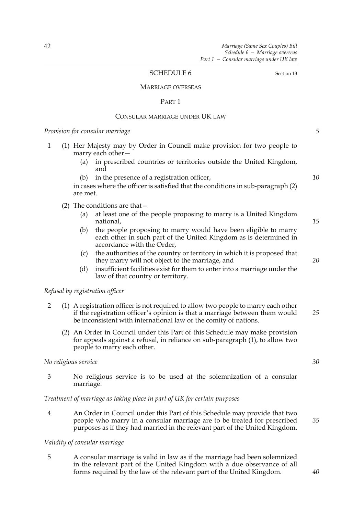#### SCHEDULE 6 Section 13

#### MARRIAGE OVERSEAS

#### PART 1

#### CONSULAR MARRIAGE UNDER UK LAW

### *Provision for consular marriage*

|  | (1) Her Majesty may by Order in Council make provision for two people to |  |  |  |  |  |
|--|--------------------------------------------------------------------------|--|--|--|--|--|
|  | marry each other-                                                        |  |  |  |  |  |

- (a) in prescribed countries or territories outside the United Kingdom, and
- (b) in the presence of a registration officer,

in cases where the officer is satisfied that the conditions in sub-paragraph (2) are met.

- (2) The conditions are that—
	- (a) at least one of the people proposing to marry is a United Kingdom national,
	- (b) the people proposing to marry would have been eligible to marry each other in such part of the United Kingdom as is determined in accordance with the Order,
	- (c) the authorities of the country or territory in which it is proposed that they marry will not object to the marriage, and
	- (d) insufficient facilities exist for them to enter into a marriage under the law of that country or territory.

### *Refusal by registration officer*

- 2 (1) A registration officer is not required to allow two people to marry each other if the registration officer's opinion is that a marriage between them would be inconsistent with international law or the comity of nations. *25*
	- (2) An Order in Council under this Part of this Schedule may make provision for appeals against a refusal, in reliance on sub-paragraph (1), to allow two people to marry each other.

#### *No religious service*

3 No religious service is to be used at the solemnization of a consular marriage.

### *Treatment of marriage as taking place in part of UK for certain purposes*

4 An Order in Council under this Part of this Schedule may provide that two people who marry in a consular marriage are to be treated for prescribed purposes as if they had married in the relevant part of the United Kingdom.

#### *Validity of consular marriage*

5 A consular marriage is valid in law as if the marriage had been solemnized in the relevant part of the United Kingdom with a due observance of all forms required by the law of the relevant part of the United Kingdom.

*10*

*5*

*15*

*20*

*30*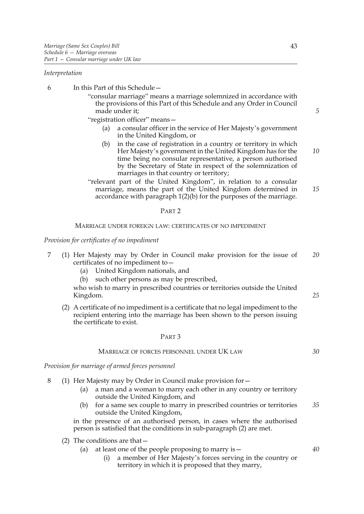#### *Interpretation*

- 6 In this Part of this Schedule—
	- "consular marriage" means a marriage solemnized in accordance with the provisions of this Part of this Schedule and any Order in Council made under it;
	- "registration officer" means—
		- (a) a consular officer in the service of Her Majesty's government in the United Kingdom, or
		- (b) in the case of registration in a country or territory in which Her Majesty's government in the United Kingdom has for the time being no consular representative, a person authorised by the Secretary of State in respect of the solemnization of marriages in that country or territory; *10*
	- "relevant part of the United Kingdom", in relation to a consular marriage, means the part of the United Kingdom determined in accordance with paragraph 1(2)(b) for the purposes of the marriage. *15*

### PART 2

#### MARRIAGE UNDER FOREIGN LAW: CERTIFICATES OF NO IMPEDIMENT

*Provision for certificates of no impediment*

- 7 (1) Her Majesty may by Order in Council make provision for the issue of certificates of no impediment to— *20*
	- (a) United Kingdom nationals, and
	- (b) such other persons as may be prescribed,

who wish to marry in prescribed countries or territories outside the United Kingdom.

(2) A certificate of no impediment is a certificate that no legal impediment to the recipient entering into the marriage has been shown to the person issuing the certificate to exist.

#### PART 3

#### MARRIAGE OF FORCES PERSONNEL UNDER UK LAW

*Provision for marriage of armed forces personnel*

- 8 (1) Her Majesty may by Order in Council make provision for—
	- (a) a man and a woman to marry each other in any country or territory outside the United Kingdom, and
	- (b) for a same sex couple to marry in prescribed countries or territories outside the United Kingdom, *35*

in the presence of an authorised person, in cases where the authorised person is satisfied that the conditions in sub-paragraph (2) are met.

- (2) The conditions are that—
	- (a) at least one of the people proposing to marry is—
		- (i) a member of Her Majesty's forces serving in the country or territory in which it is proposed that they marry,

*5*

*40*

*25*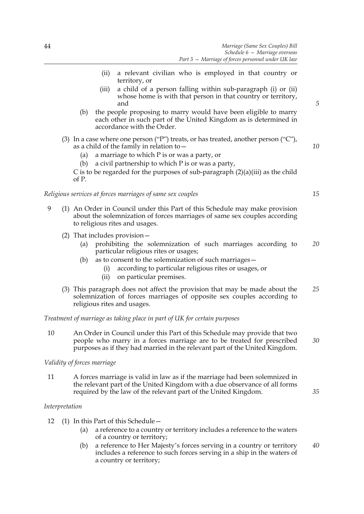- (ii) a relevant civilian who is employed in that country or territory, or
- (iii) a child of a person falling within sub-paragraph (i) or (ii) whose home is with that person in that country or territory, and
- (b) the people proposing to marry would have been eligible to marry each other in such part of the United Kingdom as is determined in accordance with the Order.
- (3) In a case where one person ("P") treats, or has treated, another person ("C"), as a child of the family in relation to—
	- (a) a marriage to which P is or was a party, or
	- (b) a civil partnership to which P is or was a party,

C is to be regarded for the purposes of sub-paragraph  $(2)(a)(iii)$  as the child of P.

### *Religious services at forces marriages of same sex couples*

- 9 (1) An Order in Council under this Part of this Schedule may make provision about the solemnization of forces marriages of same sex couples according to religious rites and usages.
	- (2) That includes provision—
		- (a) prohibiting the solemnization of such marriages according to particular religious rites or usages; *20*
		- (b) as to consent to the solemnization of such marriages—
			- (i) according to particular religious rites or usages, or
			- (ii) on particular premises.
	- (3) This paragraph does not affect the provision that may be made about the solemnization of forces marriages of opposite sex couples according to religious rites and usages. *25*

### *Treatment of marriage as taking place in part of UK for certain purposes*

10 An Order in Council under this Part of this Schedule may provide that two people who marry in a forces marriage are to be treated for prescribed purposes as if they had married in the relevant part of the United Kingdom. *30*

### *Validity of forces marriage*

11 A forces marriage is valid in law as if the marriage had been solemnized in the relevant part of the United Kingdom with a due observance of all forms required by the law of the relevant part of the United Kingdom.

#### *Interpretation*

- 12 (1) In this Part of this Schedule—
	- (a) a reference to a country or territory includes a reference to the waters of a country or territory;
	- (b) a reference to Her Majesty's forces serving in a country or territory includes a reference to such forces serving in a ship in the waters of a country or territory; *40*

*15*

*10*

*5*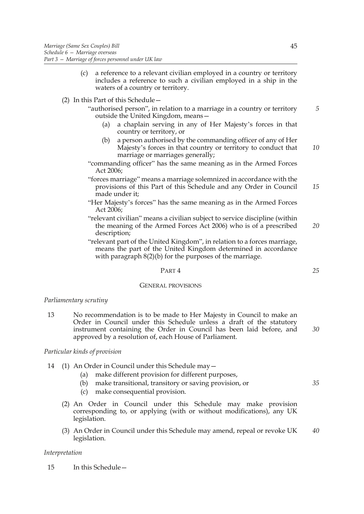(c) a reference to a relevant civilian employed in a country or territory includes a reference to such a civilian employed in a ship in the waters of a country or territory.

(2) In this Part of this Schedule—

"authorised person", in relation to a marriage in a country or territory outside the United Kingdom, means—

- (a) a chaplain serving in any of Her Majesty's forces in that country or territory, or
- (b) a person authorised by the commanding officer of any of Her Majesty's forces in that country or territory to conduct that marriage or marriages generally; *10*
- "commanding officer" has the same meaning as in the Armed Forces Act 2006;
- "forces marriage" means a marriage solemnized in accordance with the provisions of this Part of this Schedule and any Order in Council made under it; *15*
- "Her Majesty's forces" has the same meaning as in the Armed Forces Act 2006;
- "relevant civilian" means a civilian subject to service discipline (within the meaning of the Armed Forces Act 2006) who is of a prescribed description; *20*
- "relevant part of the United Kingdom", in relation to a forces marriage, means the part of the United Kingdom determined in accordance with paragraph  $8(2)(b)$  for the purposes of the marriage.

### PART 4

#### GENERAL PROVISIONS

### *Parliamentary scrutiny*

13 No recommendation is to be made to Her Majesty in Council to make an Order in Council under this Schedule unless a draft of the statutory instrument containing the Order in Council has been laid before, and approved by a resolution of, each House of Parliament. *30*

### *Particular kinds of provision*

- 14 (1) An Order in Council under this Schedule may—
	- (a) make different provision for different purposes,
	- (b) make transitional, transitory or saving provision, or
	- (c) make consequential provision.
	- (2) An Order in Council under this Schedule may make provision corresponding to, or applying (with or without modifications), any UK legislation.
	- (3) An Order in Council under this Schedule may amend, repeal or revoke UK legislation. *40*

### *Interpretation*

15 In this Schedule—

*25*

*5*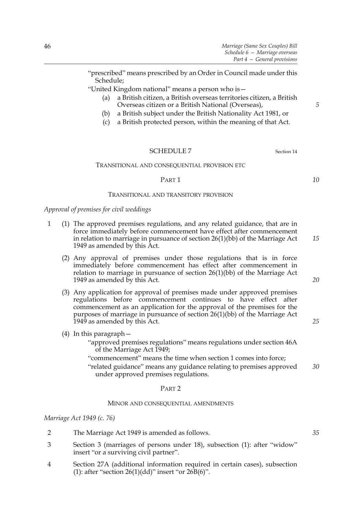"prescribed" means prescribed by an Order in Council made under this Schedule;

"United Kingdom national" means a person who is—

- (a) a British citizen, a British overseas territories citizen, a British Overseas citizen or a British National (Overseas),
- (b) a British subject under the British Nationality Act 1981, or
- (c) a British protected person, within the meaning of that Act.

#### SCHEDULE 7 Section 14

TRANSITIONAL AND CONSEQUENTIAL PROVISION ETC

#### PART 1

#### TRANSITIONAL AND TRANSITORY PROVISION

*Approval of premises for civil weddings*

- 1 (1) The approved premises regulations, and any related guidance, that are in force immediately before commencement have effect after commencement in relation to marriage in pursuance of section 26(1)(bb) of the Marriage Act 1949 as amended by this Act.
	- (2) Any approval of premises under those regulations that is in force immediately before commencement has effect after commencement in relation to marriage in pursuance of section 26(1)(bb) of the Marriage Act 1949 as amended by this Act.
	- (3) Any application for approval of premises made under approved premises regulations before commencement continues to have effect after commencement as an application for the approval of the premises for the purposes of marriage in pursuance of section 26(1)(bb) of the Marriage Act 1949 as amended by this Act.
	- (4) In this paragraph—
		- "approved premises regulations" means regulations under section 46A of the Marriage Act 1949;
		- "commencement" means the time when section 1 comes into force;
		- "related guidance" means any guidance relating to premises approved under approved premises regulations. *30*

#### PART 2

#### MINOR AND CONSEQUENTIAL AMENDMENTS

*Marriage Act 1949 (c. 76)*

- 2 The Marriage Act 1949 is amended as follows.
- 3 Section 3 (marriages of persons under 18), subsection (1): after "widow" insert "or a surviving civil partner".
- 4 Section 27A (additional information required in certain cases), subsection (1): after "section  $26(1)(dd)$ " insert "or  $26\overline{B(6)}$ ".

*5*

*15*

*10*

*25*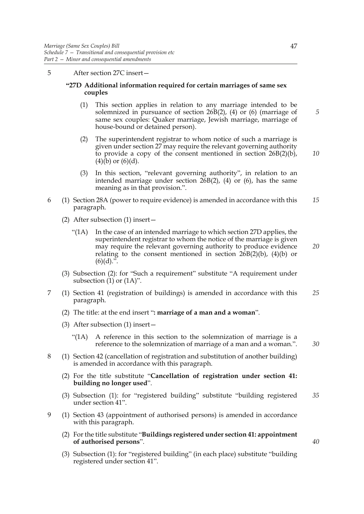5 After section 27C insert—

#### **"27D Additional information required for certain marriages of same sex couples**

- (1) This section applies in relation to any marriage intended to be solemnized in pursuance of section 26B(2), (4) or (6) (marriage of same sex couples: Quaker marriage, Jewish marriage, marriage of house-bound or detained person).
- (2) The superintendent registrar to whom notice of such a marriage is given under section 27 may require the relevant governing authority to provide a copy of the consent mentioned in section 26B(2)(b),  $(4)(b)$  or  $(6)(d)$ .
- (3) In this section, "relevant governing authority", in relation to an intended marriage under section 26B(2), (4) or (6), has the same meaning as in that provision.".
- 6 (1) Section 28A (power to require evidence) is amended in accordance with this paragraph. *15*
	- (2) After subsection (1) insert—
		- "(1A) In the case of an intended marriage to which section 27D applies, the superintendent registrar to whom the notice of the marriage is given may require the relevant governing authority to produce evidence relating to the consent mentioned in section  $2\overline{6}B(2)(b)$ ,  $(4)(b)$  or  $(6)(d)$ .".
	- (3) Subsection (2): for "Such a requirement" substitute "A requirement under subsection  $(1)$  or  $(1A)$ ".
- 7 (1) Section 41 (registration of buildings) is amended in accordance with this paragraph. *25*
	- (2) The title: at the end insert "**: marriage of a man and a woman**".
	- (3) After subsection (1) insert—
		- "(1A) A reference in this section to the solemnization of marriage is a reference to the solemnization of marriage of a man and a woman.".
- 8 (1) Section 42 (cancellation of registration and substitution of another building) is amended in accordance with this paragraph.
	- (2) For the title substitute "**Cancellation of registration under section 41: building no longer used**".
	- (3) Subsection (1): for "registered building" substitute "building registered under section 41". *35*
- 9 (1) Section 43 (appointment of authorised persons) is amended in accordance with this paragraph.
	- (2) For the title substitute "**Buildings registered under section 41: appointment of authorised persons**".
	- (3) Subsection (1): for "registered building" (in each place) substitute "building registered under section 41".

*5*

*10*

*20*

*30*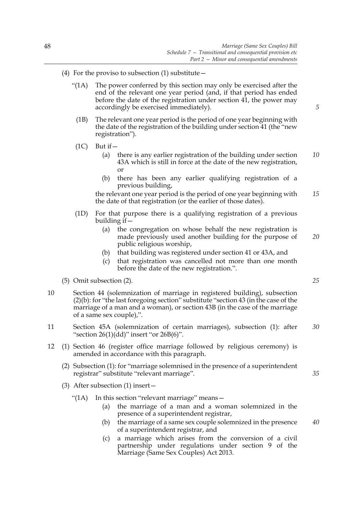- (4) For the proviso to subsection  $(1)$  substitute  $-$ 
	- "(1A) The power conferred by this section may only be exercised after the end of the relevant one year period (and, if that period has ended before the date of the registration under section 41, the power may accordingly be exercised immediately).
	- (1B) The relevant one year period is the period of one year beginning with the date of the registration of the building under section 41 (the "new registration").
	- $(1C)$  But if  $-$ 
		- (a) there is any earlier registration of the building under section 43A which is still in force at the date of the new registration, or *10*
		- (b) there has been any earlier qualifying registration of a previous building,

the relevant one year period is the period of one year beginning with the date of that registration (or the earlier of those dates). *15*

- (1D) For that purpose there is a qualifying registration of a previous building if—
	- (a) the congregation on whose behalf the new registration is made previously used another building for the purpose of public religious worship, *20*
	- (b) that building was registered under section 41 or 43A, and
	- (c) that registration was cancelled not more than one month before the date of the new registration.".
- (5) Omit subsection (2).
- 10 Section 44 (solemnization of marriage in registered building), subsection (2)(b): for "the last foregoing section" substitute "section 43 (in the case of the marriage of a man and a woman), or section 43B (in the case of the marriage of a same sex couple),".
- 11 Section 45A (solemnization of certain marriages), subsection (1): after "section 26(1)(dd)" insert "or 26B(6)". *30*
- 12 (1) Section 46 (register office marriage followed by religious ceremony) is amended in accordance with this paragraph.
	- (2) Subsection (1): for "marriage solemnised in the presence of a superintendent registrar" substitute "relevant marriage".
	- (3) After subsection (1) insert—
		- "(1A) In this section "relevant marriage" means—
			- (a) the marriage of a man and a woman solemnized in the presence of a superintendent registrar,
			- (b) the marriage of a same sex couple solemnized in the presence of a superintendent registrar, and
			- (c) a marriage which arises from the conversion of a civil partnership under regulations under section 9 of the Marriage (Same Sex Couples) Act 2013.

*25*

*5*

*35*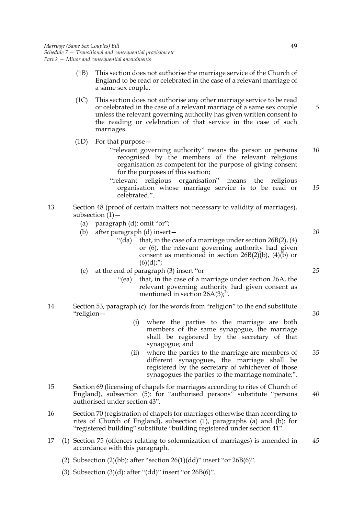- (1B) This section does not authorise the marriage service of the Church of England to be read or celebrated in the case of a relevant marriage of a same sex couple.
- (1C) This section does not authorise any other marriage service to be read or celebrated in the case of a relevant marriage of a same sex couple unless the relevant governing authority has given written consent to the reading or celebration of that service in the case of such marriages.
- (1D) For that purpose—
	- "relevant governing authority" means the person or persons recognised by the members of the relevant religious organisation as competent for the purpose of giving consent for the purposes of this section; *10*
	- "relevant religious organisation" means the religious organisation whose marriage service is to be read or celebrated.". *15*
- 13 Section 48 (proof of certain matters not necessary to validity of marriages), subsection  $(1)$  –
	- (a) paragraph (d): omit "or";
	- (b) after paragraph (d) insert—
		- "(da) that, in the case of a marriage under section  $26B(2)$ , (4) or (6), the relevant governing authority had given consent as mentioned in section  $26B(2)(b)$ ,  $(4)(b)$  or  $(6)(d)$ ;";
	- (c) at the end of paragraph (3) insert "or
		- "(ea) that, in the case of a marriage under section 26A, the relevant governing authority had given consent as mentioned in section 26A(3);".
- 14 Section 53, paragraph (c): for the words from "religion" to the end substitute "religion—
	- (i) where the parties to the marriage are both members of the same synagogue, the marriage shall be registered by the secretary of that synagogue; and
	- (ii) where the parties to the marriage are members of different synagogues, the marriage shall be registered by the secretary of whichever of those synagogues the parties to the marriage nominate;". *35*
- 15 Section 69 (licensing of chapels for marriages according to rites of Church of England), subsection (5): for "authorised persons" substitute "persons authorised under section 43". *40*
- 16 Section 70 (registration of chapels for marriages otherwise than according to rites of Church of England), subsection (1), paragraphs (a) and (b): for "registered building" substitute "building registered under section 41".
- 17 (1) Section 75 (offences relating to solemnization of marriages) is amended in accordance with this paragraph. *45*
	- (2) Subsection  $(2)(bb)$ : after "section  $26(1)(dd)$ " insert "or  $26B(6)$ ".
	- (3) Subsection  $(3)(d)$ : after " $(dd)$ " insert "or  $26B(6)$ ".

*5*

*25*

*20*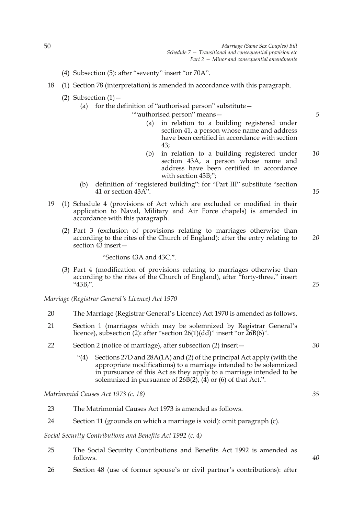- (4) Subsection (5): after "seventy" insert "or 70A".
- 18 (1) Section 78 (interpretation) is amended in accordance with this paragraph.
	- (2) Subsection  $(1)$  -
		- (a) for the definition of "authorised person" substitute  $-$ 
			- ""authorised person" means—
				- (a) in relation to a building registered under section 41, a person whose name and address have been certified in accordance with section 43;
				- (b) in relation to a building registered under section 43A, a person whose name and address have been certified in accordance with section 43B;"; *10*
		- (b) definition of "registered building": for "Part III" substitute "section 41 or section 43A".
- 19 (1) Schedule 4 (provisions of Act which are excluded or modified in their application to Naval, Military and Air Force chapels) is amended in accordance with this paragraph.
	- (2) Part 3 (exclusion of provisions relating to marriages otherwise than according to the rites of the Church of England): after the entry relating to section 43 insert—

"Sections 43A and 43C.".

(3) Part 4 (modification of provisions relating to marriages otherwise than according to the rites of the Church of England), after "forty-three," insert "43B,".

*Marriage (Registrar General's Licence) Act 1970*

- 20 The Marriage (Registrar General's Licence) Act 1970 is amended as follows.
- 21 Section 1 (marriages which may be solemnized by Registrar General's licence), subsection (2): after "section 26(1)(dd)" insert "or 26B(6)".
- 22 Section 2 (notice of marriage), after subsection (2) insert—
	- "(4) Sections 27D and 28A(1A) and (2) of the principal Act apply (with the appropriate modifications) to a marriage intended to be solemnized in pursuance of this Act as they apply to a marriage intended to be solemnized in pursuance of  $26\overline{B(2)}$ ,  $\overline{(4)}$  or  $\overline{(6)}$  of that Act.".

*Matrimonial Causes Act 1973 (c. 18)*

- 23 The Matrimonial Causes Act 1973 is amended as follows.
- 24 Section 11 (grounds on which a marriage is void): omit paragraph (c).

*Social Security Contributions and Benefits Act 1992 (c. 4)*

- 25 The Social Security Contributions and Benefits Act 1992 is amended as follows.
- 26 Section 48 (use of former spouse's or civil partner's contributions): after

*25*

*5*

*15*

*20*

*30*

*35*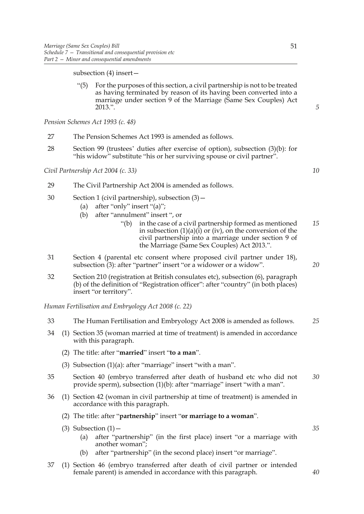subsection (4) insert—

"(5) For the purposes of this section, a civil partnership is not to be treated as having terminated by reason of its having been converted into a marriage under section 9 of the Marriage (Same Sex Couples) Act 2013.".

*Pension Schemes Act 1993 (c. 48)*

- 27 The Pension Schemes Act 1993 is amended as follows.
- 28 Section 99 (trustees' duties after exercise of option), subsection (3)(b): for "his widow" substitute "his or her surviving spouse or civil partner".

*Civil Partnership Act 2004 (c. 33)*

- 29 The Civil Partnership Act 2004 is amended as follows.
- 30 Section 1 (civil partnership), subsection (3)—
	- (a) after "only" insert "(a)";
	- (b) after "annulment" insert ", or
		- "(b) in the case of a civil partnership formed as mentioned in subsection  $(1)(a)(i)$  or (iv), on the conversion of the civil partnership into a marriage under section 9 of the Marriage (Same Sex Couples) Act 2013.". *15*
- 31 Section 4 (parental etc consent where proposed civil partner under 18), subsection (3): after "partner" insert "or a widower or a widow".
- 32 Section 210 (registration at British consulates etc), subsection (6), paragraph (b) of the definition of "Registration officer": after "country" (in both places) insert "or territory".

*Human Fertilisation and Embryology Act 2008 (c. 22)*

- 33 The Human Fertilisation and Embryology Act 2008 is amended as follows. *25*
- 34 (1) Section 35 (woman married at time of treatment) is amended in accordance with this paragraph.
	- (2) The title: after "**married**" insert "**to a man**".
	- (3) Subsection  $(1)(a)$ : after "marriage" insert "with a man".
- 35 Section 40 (embryo transferred after death of husband etc who did not provide sperm), subsection (1)(b): after "marriage" insert "with a man". *30*
- 36 (1) Section 42 (woman in civil partnership at time of treatment) is amended in accordance with this paragraph.
	- (2) The title: after "**partnership**" insert "**or marriage to a woman**".
	- (3) Subsection  $(1)$  -
		- (a) after "partnership" (in the first place) insert "or a marriage with another woman";
		- (b) after "partnership" (in the second place) insert "or marriage".
- 37 (1) Section 46 (embryo transferred after death of civil partner or intended female parent) is amended in accordance with this paragraph.

*20*

*5*

*10*

*35*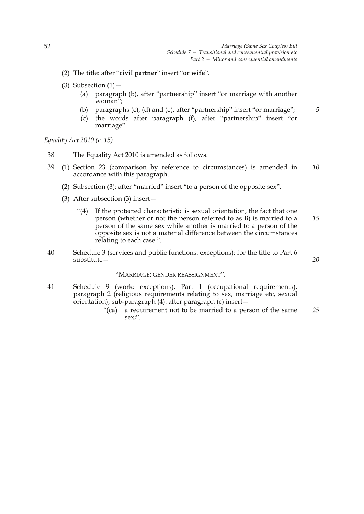*5*

*20*

- (2) The title: after "**civil partner**" insert "**or wife**".
- (3) Subsection  $(1)$  -
	- (a) paragraph (b), after "partnership" insert "or marriage with another woman";
	- (b) paragraphs (c), (d) and (e), after "partnership" insert "or marriage";
	- (c) the words after paragraph (f), after "partnership" insert "or marriage".

*Equality Act 2010 (c. 15)*

- 38 The Equality Act 2010 is amended as follows.
- 39 (1) Section 23 (comparison by reference to circumstances) is amended in accordance with this paragraph. *10*
	- (2) Subsection (3): after "married" insert "to a person of the opposite sex".
	- (3) After subsection (3) insert—
		- "(4) If the protected characteristic is sexual orientation, the fact that one person (whether or not the person referred to as B) is married to a person of the same sex while another is married to a person of the opposite sex is not a material difference between the circumstances relating to each case.". *15*
- 40 Schedule 3 (services and public functions: exceptions): for the title to Part 6 substitute—

"MARRIAGE: GENDER REASSIGNMENT".

- 41 Schedule 9 (work: exceptions), Part 1 (occupational requirements), paragraph 2 (religious requirements relating to sex, marriage etc, sexual orientation), sub-paragraph (4): after paragraph (c) insert—
	- "(ca) a requirement not to be married to a person of the same  $sex$ ;. *25*